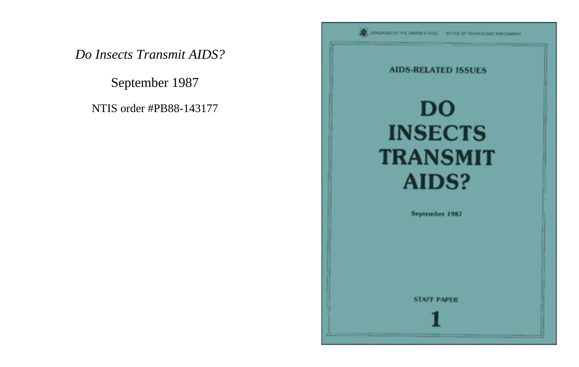September 1987

NTIS order #PB88-143177

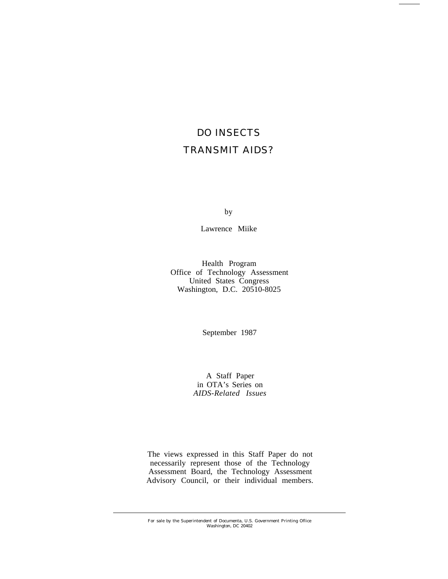# DO INSECTS TRANSMIT AIDS?

by

Lawrence Miike

Health Program Office of Technology Assessment United States Congress Washington, D.C. 20510-8025

September 1987

A Staff Paper in OTA's Series on *AIDS-Related Issues*

The views expressed in this Staff Paper do not necessarily represent those of the Technology Assessment Board, the Technology Assessment Advisory Council, or their individual members.

For sale by the Superintendent of Documenta, U.S. Government Printing Oflice Washington, DC 20402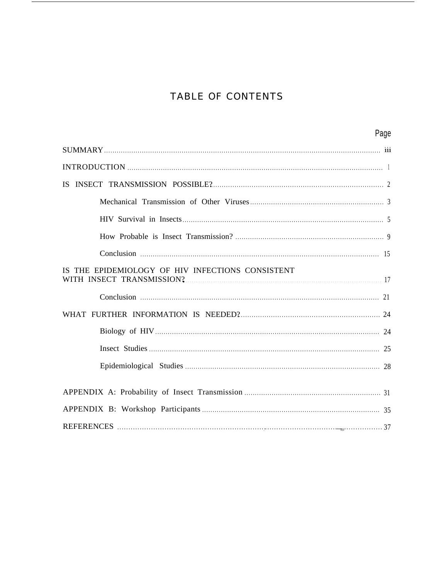# **TABLE OF CONTENTS**

| Page                                                                             |
|----------------------------------------------------------------------------------|
|                                                                                  |
|                                                                                  |
|                                                                                  |
|                                                                                  |
|                                                                                  |
|                                                                                  |
|                                                                                  |
| IS THE EPIDEMIOLOGY OF HIV INFECTIONS CONSISTENT<br>WITH INSECT TRANSMISSION? 17 |
|                                                                                  |
|                                                                                  |
|                                                                                  |
|                                                                                  |
|                                                                                  |
|                                                                                  |
|                                                                                  |
|                                                                                  |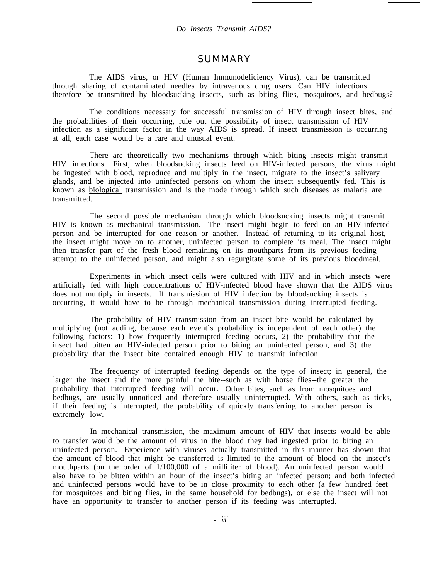## **SUMMARY**

The AIDS virus, or HIV (Human Immunodeficiency Virus), can be transmitted through sharing of contaminated needles by intravenous drug users. Can HIV infections therefore be transmitted by bloodsucking insects, such as biting flies, mosquitoes, and bedbugs?

The conditions necessary for successful transmission of HIV through insect bites, and the probabilities of their occurring, rule out the possibility of insect transmission of HIV infection as a significant factor in the way AIDS is spread. If insect transmission is occurring at all, each case would be a rare and unusual event.

There are theoretically two mechanisms through which biting insects might transmit HIV infections. First, when bloodsucking insects feed on HIV-infected persons, the virus might be ingested with blood, reproduce and multiply in the insect, migrate to the insect's salivary glands, and be injected into uninfected persons on whom the insect subsequently fed. This is known as biological transmission and is the mode through which such diseases as malaria are transmitted.

The second possible mechanism through which bloodsucking insects might transmit HIV is known as mechanical transmission. The insect might begin to feed on an HIV-infected person and be interrupted for one reason or another. Instead of returning to its original host, the insect might move on to another, uninfected person to complete its meal. The insect might then transfer part of the fresh blood remaining on its mouthparts from its previous feeding attempt to the uninfected person, and might also regurgitate some of its previous bloodmeal.

Experiments in which insect cells were cultured with HIV and in which insects were artificially fed with high concentrations of HIV-infected blood have shown that the AIDS virus does not multiply in insects. If transmission of HIV infection by bloodsucking insects is occurring, it would have to be through mechanical transmission during interrupted feeding.

The probability of HIV transmission from an insect bite would be calculated by multiplying (not adding, because each event's probability is independent of each other) the following factors: 1) how frequently interrupted feeding occurs, 2) the probability that the insect had bitten an HIV-infected person prior to biting an uninfected person, and 3) the probability that the insect bite contained enough HIV to transmit infection.

The frequency of interrupted feeding depends on the type of insect; in general, the larger the insect and the more painful the bite--such as with horse flies--the greater the probability that interrupted feeding will occur. Other bites, such as from mosquitoes and bedbugs, are usually unnoticed and therefore usually uninterrupted. With others, such as ticks, if their feeding is interrupted, the probability of quickly transferring to another person is extremely low.

In mechanical transmission, the maximum amount of HIV that insects would be able to transfer would be the amount of virus in the blood they had ingested prior to biting an uninfected person. Experience with viruses actually transmitted in this manner has shown that the amount of blood that might be transferred is limited to the amount of blood on the insect's mouthparts (on the order of 1/100,000 of a milliliter of blood). An uninfected person would also have to be bitten within an hour of the insect's biting an infected person; and both infected and uninfected persons would have to be in close proximity to each other (a few hundred feet for mosquitoes and biting flies, in the same household for bedbugs), or else the insect will not have an opportunity to transfer to another person if its feeding was interrupted.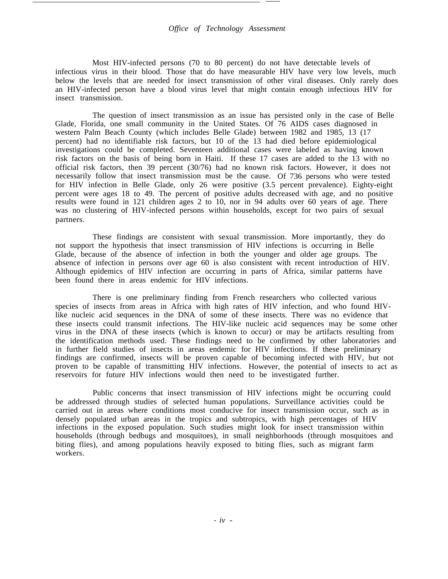Most HIV-infected persons (70 to 80 percent) do not have detectable levels of infectious virus in their blood. Those that do have measurable HIV have very low levels, much below the levels that are needed for insect transmission of other viral diseases. Only rarely does an HIV-infected person have a blood virus level that might contain enough infectious HIV for insect transmission.

The question of insect transmission as an issue has persisted only in the case of Belle Glade, Florida, one small community in the United States. Of 76 AIDS cases diagnosed in western Palm Beach County (which includes Belle Glade) between 1982 and 1985, 13 (17 percent) had no identifiable risk factors, but 10 of the 13 had died before epidemiological investigations could be completed. Seventeen additional cases were labeled as having known risk factors on the basis of being born in Haiti. If these 17 cases are added to the 13 with no official risk factors, then 39 percent (30/76) had no known risk factors. However, it does not necessarily follow that insect transmission must be the cause. Of 736 persons who were tested for HIV infection in Belle Glade, only 26 were positive (3.5 percent prevalence). Eighty-eight percent were ages 18 to 49. The percent of positive adults decreased with age, and no positive results were found in 121 children ages 2 to 10, nor in 94 adults over 60 years of age. There was no clustering of HIV-infected persons within households, except for two pairs of sexual partners.

These findings are consistent with sexual transmission. More importantly, they do not support the hypothesis that insect transmission of HIV infections is occurring in Belle Glade, because of the absence of infection in both the younger and older age groups. The absence of infection in persons over age 60 is also consistent with recent introduction of HIV. Although epidemics of HIV infection are occurring in parts of Africa, similar patterns have been found there in areas endemic for HIV infections.

There is one preliminary finding from French researchers who collected various species of insects from areas in Africa with high rates of HIV infection, and who found HIVlike nucleic acid sequences in the DNA of some of these insects. There was no evidence that these insects could transmit infections. The HIV-like nucleic acid sequences may be some other virus in the DNA of these insects (which is known to occur) or may be artifacts resulting from the identification methods used. These findings need to be confirmed by other laboratories and in further field studies of insects in areas endemic for HIV infections. If these preliminary findings are confirmed, insects will be proven capable of becoming infected with HIV, but not proven to be capable of transmitting HIV infections. However, the potential of insects to act as reservoirs for future HIV infections would then need to be investigated further.

Public concerns that insect transmission of HIV infections might be occurring could be addressed through studies of selected human populations. Surveillance activities could be carried out in areas where conditions most conducive for insect transmission occur, such as in densely populated urban areas in the tropics and subtropics, with high percentages of HIV infections in the exposed population. Such studies might look for insect transmission within households (through bedbugs and mosquitoes), in small neighborhoods (through mosquitoes and biting flies), and among populations heavily exposed to biting flies, such as migrant farm workers.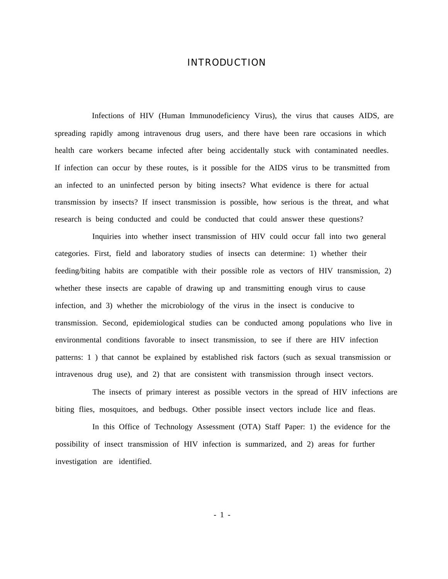## INTRODUCTION

Infections of HIV (Human Immunodeficiency Virus), the virus that causes AIDS, are spreading rapidly among intravenous drug users, and there have been rare occasions in which health care workers became infected after being accidentally stuck with contaminated needles. If infection can occur by these routes, is it possible for the AIDS virus to be transmitted from an infected to an uninfected person by biting insects? What evidence is there for actual transmission by insects? If insect transmission is possible, how serious is the threat, and what research is being conducted and could be conducted that could answer these questions?

Inquiries into whether insect transmission of HIV could occur fall into two general categories. First, field and laboratory studies of insects can determine: 1) whether their feeding/biting habits are compatible with their possible role as vectors of HIV transmission, 2) whether these insects are capable of drawing up and transmitting enough virus to cause infection, and 3) whether the microbiology of the virus in the insect is conducive to transmission. Second, epidemiological studies can be conducted among populations who live in environmental conditions favorable to insect transmission, to see if there are HIV infection patterns: 1 ) that cannot be explained by established risk factors (such as sexual transmission or intravenous drug use), and 2) that are consistent with transmission through insect vectors.

The insects of primary interest as possible vectors in the spread of HIV infections are biting flies, mosquitoes, and bedbugs. Other possible insect vectors include lice and fleas.

In this Office of Technology Assessment (OTA) Staff Paper: 1) the evidence for the possibility of insect transmission of HIV infection is summarized, and 2) areas for further investigation are identified.

- 1 -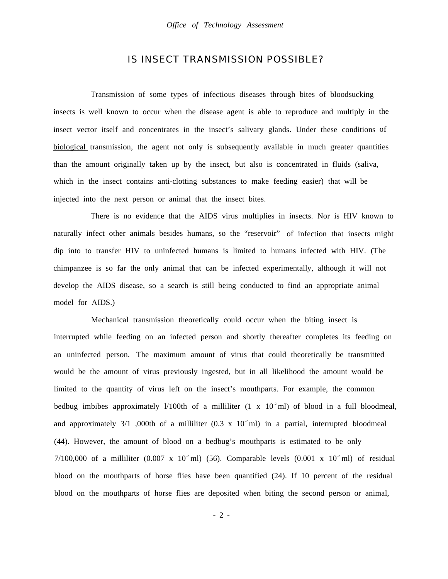## IS INSECT TRANSMISSION POSSIBLE?

Transmission of some types of infectious diseases through bites of bloodsucking insects is well known to occur when the disease agent is able to reproduce and multiply in the insect vector itself and concentrates in the insect's salivary glands. Under these conditions of biological transmission, the agent not only is subsequently available in much greater quantities than the amount originally taken up by the insect, but also is concentrated in fluids (saliva, which in the insect contains anti-clotting substances to make feeding easier) that will be injected into the next person or animal that the insect bites.

There is no evidence that the AIDS virus multiplies in insects. Nor is HIV known to naturally infect other animals besides humans, so the "reservoir" of infection that insects might dip into to transfer HIV to uninfected humans is limited to humans infected with HIV. (The chimpanzee is so far the only animal that can be infected experimentally, although it will not develop the AIDS disease, so a search is still being conducted to find an appropriate animal model for AIDS.)

Mechanical transmission theoretically could occur when the biting insect is interrupted while feeding on an infected person and shortly thereafter completes its feeding on an uninfected person. The maximum amount of virus that could theoretically be transmitted would be the amount of virus previously ingested, but in all likelihood the amount would be limited to the quantity of virus left on the insect's mouthparts. For example, the common bedbug imbibes approximately l/100th of a milliliter  $(1 \times 10^2 \text{ ml})$  of blood in a full bloodmeal, and approximately 3/1 ,000th of a milliliter (0.3 x  $10<sup>2</sup>$  ml) in a partial, interrupted bloodmeal (44). However, the amount of blood on a bedbug's mouthparts is estimated to be only 7/100,000 of a milliliter (0.007 x 10<sup>-2</sup> ml) (56). Comparable levels (0.001 x 10<sup>-2</sup> ml) of residual blood on the mouthparts of horse flies have been quantified (24). If 10 percent of the residual blood on the mouthparts of horse flies are deposited when biting the second person or animal,

- 2 -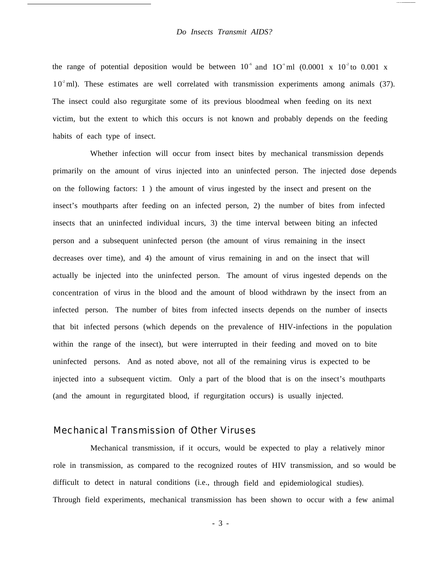the range of potential deposition would be between  $10^{-6}$  and  $10^{-8}$  ml (0.0001 x  $10^{-2}$  to 0.001 x  $10<sup>2</sup>$  ml). These estimates are well correlated with transmission experiments among animals (37). The insect could also regurgitate some of its previous bloodmeal when feeding on its next victim, but the extent to which this occurs is not known and probably depends on the feeding habits of each type of insect.

Whether infection will occur from insect bites by mechanical transmission depends primarily on the amount of virus injected into an uninfected person. The injected dose depends on the following factors: 1 ) the amount of virus ingested by the insect and present on the insect's mouthparts after feeding on an infected person, 2) the number of bites from infected insects that an uninfected individual incurs, 3) the time interval between biting an infected person and a subsequent uninfected person (the amount of virus remaining in the insect decreases over time), and 4) the amount of virus remaining in and on the insect that will actually be injected into the uninfected person. The amount of virus ingested depends on the concentration of virus in the blood and the amount of blood withdrawn by the insect from an infected person. The number of bites from infected insects depends on the number of insects that bit infected persons (which depends on the prevalence of HIV-infections in the population within the range of the insect), but were interrupted in their feeding and moved on to bite uninfected persons. And as noted above, not all of the remaining virus is expected to be injected into a subsequent victim. Only a part of the blood that is on the insect's mouthparts (and the amount in regurgitated blood, if regurgitation occurs) is usually injected.

## Mechanical Transmission of Other Viruses

Mechanical transmission, if it occurs, would be expected to play a relatively minor role in transmission, as compared to the recognized routes of HIV transmission, and so would be difficult to detect in natural conditions (i.e., through field and epidemiological studies). Through field experiments, mechanical transmission has been shown to occur with a few animal

- 3 -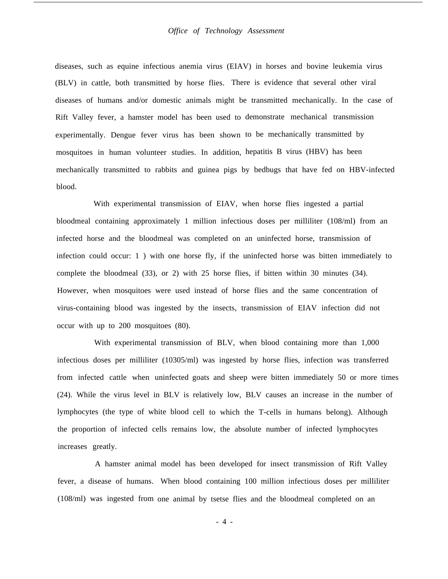diseases, such as equine infectious anemia virus (EIAV) in horses and bovine leukemia virus (BLV) in cattle, both transmitted by horse flies. There is evidence that several other viral diseases of humans and/or domestic animals might be transmitted mechanically. In the case of Rift Valley fever, a hamster model has been used to demonstrate mechanical transmission experimentally. Dengue fever virus has been shown to be mechanically transmitted by mosquitoes in human volunteer studies. In addition, hepatitis B virus (HBV) has been mechanically transmitted to rabbits and guinea pigs by bedbugs that have fed on HBV-infected blood.

With experimental transmission of EIAV, when horse flies ingested a partial bloodmeal containing approximately 1 million infectious doses per milliliter (108/ml) from an infected horse and the bloodmeal was completed on an uninfected horse, transmission of infection could occur: 1 ) with one horse fly, if the uninfected horse was bitten immediately to complete the bloodmeal (33), or 2) with 25 horse flies, if bitten within 30 minutes (34). However, when mosquitoes were used instead of horse flies and the same concentration of virus-containing blood was ingested by the insects, transmission of EIAV infection did not occur with up to 200 mosquitoes (80).

With experimental transmission of BLV, when blood containing more than 1,000 infectious doses per milliliter (10305/ml) was ingested by horse flies, infection was transferred from infected cattle when uninfected goats and sheep were bitten immediately 50 or more times (24). While the virus level in BLV is relatively low, BLV causes an increase in the number of lymphocytes (the type of white blood cell to which the T-cells in humans belong). Although the proportion of infected cells remains low, the absolute number of infected lymphocytes increases greatly.

A hamster animal model has been developed for insect transmission of Rift Valley fever, a disease of humans. When blood containing 100 million infectious doses per milliliter (108/ml) was ingested from one animal by tsetse flies and the bloodmeal completed on an

- 4 -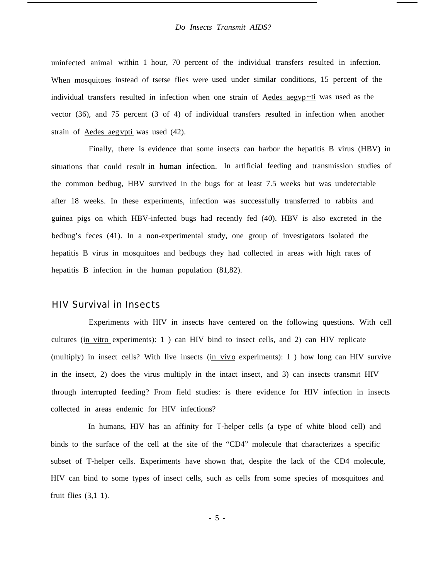uninfected animal within 1 hour, 70 percent of the individual transfers resulted in infection. When mosquitoes instead of tsetse flies were used under similar conditions, 15 percent of the individual transfers resulted in infection when one strain of Aedes aegyp $\nu$ ti was used as the vector (36), and 75 percent (3 of 4) of individual transfers resulted in infection when another strain of Aedes aegvpti was used (42).

Finally, there is evidence that some insects can harbor the hepatitis B virus (HBV) in situations that could result in human infection. In artificial feeding and transmission studies of the common bedbug, HBV survived in the bugs for at least 7.5 weeks but was undetectable after 18 weeks. In these experiments, infection was successfully transferred to rabbits and guinea pigs on which HBV-infected bugs had recently fed (40). HBV is also excreted in the bedbug's feces (41). In a non-experimental study, one group of investigators isolated the hepatitis B virus in mosquitoes and bedbugs they had collected in areas with high rates of hepatitis B infection in the human population (81,82).

### HIV Survival in Insects

Experiments with HIV in insects have centered on the following questions. With cell cultures (in vitro experiments): 1 ) can HIV bind to insect cells, and 2) can HIV replicate (multiply) in insect cells? With live insects (in vivo experiments):  $1$ ) how long can HIV survive in the insect, 2) does the virus multiply in the intact insect, and 3) can insects transmit HIV through interrupted feeding? From field studies: is there evidence for HIV infection in insects collected in areas endemic for HIV infections?

In humans, HIV has an affinity for T-helper cells (a type of white blood cell) and binds to the surface of the cell at the site of the "CD4" molecule that characterizes a specific subset of T-helper cells. Experiments have shown that, despite the lack of the CD4 molecule, HIV can bind to some types of insect cells, such as cells from some species of mosquitoes and fruit flies (3,1 1).

- 5 -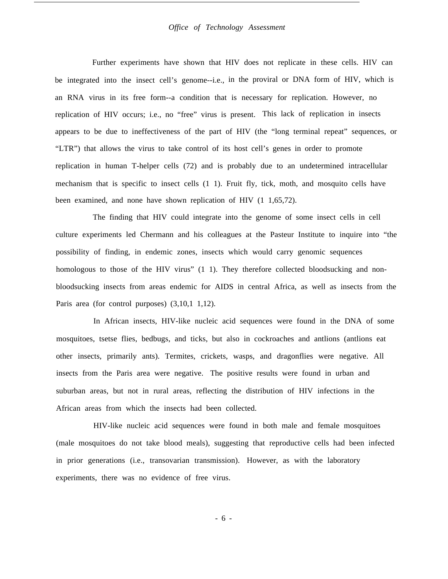Further experiments have shown that HIV does not replicate in these cells. HIV can be integrated into the insect cell's genome--i.e., in the proviral or DNA form of HIV, which is an RNA virus in its free form--a condition that is necessary for replication. However, no replication of HIV occurs; i.e., no "free" virus is present. This lack of replication in insects appears to be due to ineffectiveness of the part of HIV (the "long terminal repeat" sequences, or "LTR") that allows the virus to take control of its host cell's genes in order to promote replication in human T-helper cells (72) and is probably due to an undetermined intracellular mechanism that is specific to insect cells (1 1). Fruit fly, tick, moth, and mosquito cells have been examined, and none have shown replication of HIV (1 1,65,72).

The finding that HIV could integrate into the genome of some insect cells in cell culture experiments led Chermann and his colleagues at the Pasteur Institute to inquire into "the possibility of finding, in endemic zones, insects which would carry genomic sequences homologous to those of the HIV virus" (1 1). They therefore collected bloodsucking and nonbloodsucking insects from areas endemic for AIDS in central Africa, as well as insects from the Paris area (for control purposes) (3,10,1 1,12).

In African insects, HIV-like nucleic acid sequences were found in the DNA of some mosquitoes, tsetse flies, bedbugs, and ticks, but also in cockroaches and antlions (antlions eat other insects, primarily ants). Termites, crickets, wasps, and dragonflies were negative. All insects from the Paris area were negative. The positive results were found in urban and suburban areas, but not in rural areas, reflecting the distribution of HIV infections in the African areas from which the insects had been collected.

HIV-like nucleic acid sequences were found in both male and female mosquitoes (male mosquitoes do not take blood meals), suggesting that reproductive cells had been infected in prior generations (i.e., transovarian transmission). However, as with the laboratory experiments, there was no evidence of free virus.

- 6 -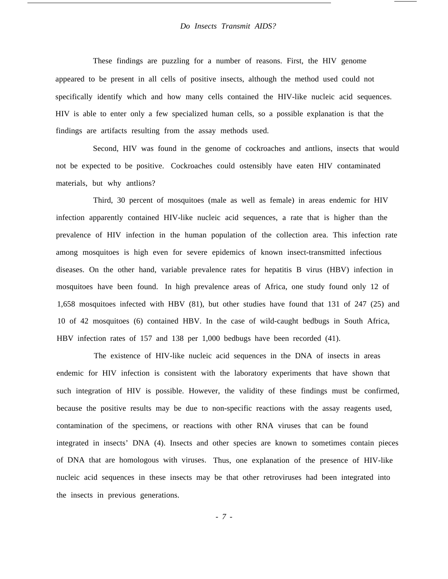These findings are puzzling for a number of reasons. First, the HIV genome appeared to be present in all cells of positive insects, although the method used could not specifically identify which and how many cells contained the HIV-like nucleic acid sequences. HIV is able to enter only a few specialized human cells, so a possible explanation is that the findings are artifacts resulting from the assay methods used.

Second, HIV was found in the genome of cockroaches and antlions, insects that would not be expected to be positive. Cockroaches could ostensibly have eaten HIV contaminated materials, but why antlions?

Third, 30 percent of mosquitoes (male as well as female) in areas endemic for HIV infection apparently contained HIV-like nucleic acid sequences, a rate that is higher than the prevalence of HIV infection in the human population of the collection area. This infection rate among mosquitoes is high even for severe epidemics of known insect-transmitted infectious diseases. On the other hand, variable prevalence rates for hepatitis B virus (HBV) infection in mosquitoes have been found. In high prevalence areas of Africa, one study found only 12 of 1,658 mosquitoes infected with HBV (81), but other studies have found that 131 of 247 (25) and 10 of 42 mosquitoes (6) contained HBV. In the case of wild-caught bedbugs in South Africa, HBV infection rates of 157 and 138 per 1,000 bedbugs have been recorded (41).

The existence of HIV-like nucleic acid sequences in the DNA of insects in areas endemic for HIV infection is consistent with the laboratory experiments that have shown that such integration of HIV is possible. However, the validity of these findings must be confirmed, because the positive results may be due to non-specific reactions with the assay reagents used, contamination of the specimens, or reactions with other RNA viruses that can be found integrated in insects' DNA (4). Insects and other species are known to sometimes contain pieces of DNA that are homologous with viruses. Thus, one explanation of the presence of HIV-like nucleic acid sequences in these insects may be that other retroviruses had been integrated into the insects in previous generations.

*- 7 -*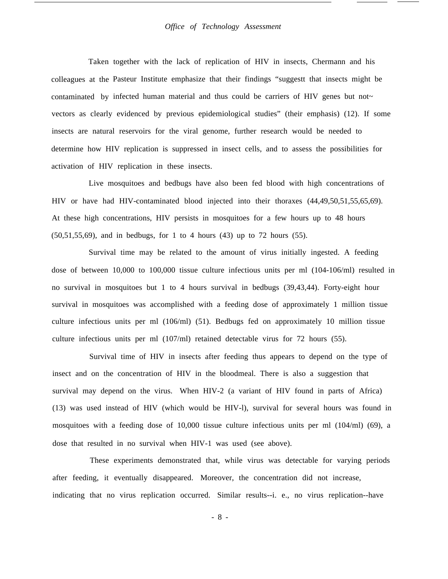#### *Office of Technology Assessment*

Taken together with the lack of replication of HIV in insects, Chermann and his colleagues at the Pasteur Institute emphasize that their findings "suggestt that insects might be contaminated by infected human material and thus could be carriers of HIV genes but not~ vectors as clearly evidenced by previous epidemiological studies" (their emphasis) (12). If some insects are natural reservoirs for the viral genome, further research would be needed to determine how HIV replication is suppressed in insect cells, and to assess the possibilities for activation of HIV replication in these insects.

Live mosquitoes and bedbugs have also been fed blood with high concentrations of HIV or have had HIV-contaminated blood injected into their thoraxes (44,49,50,51,55,65,69). At these high concentrations, HIV persists in mosquitoes for a few hours up to 48 hours (50,51,55,69), and in bedbugs, for 1 to 4 hours (43) up to 72 hours (55).

Survival time may be related to the amount of virus initially ingested. A feeding dose of between 10,000 to 100,000 tissue culture infectious units per ml (104-106/ml) resulted in no survival in mosquitoes but 1 to 4 hours survival in bedbugs (39,43,44). Forty-eight hour survival in mosquitoes was accomplished with a feeding dose of approximately 1 million tissue culture infectious units per ml (106/ml) (51). Bedbugs fed on approximately 10 million tissue culture infectious units per ml (107/ml) retained detectable virus for 72 hours (55).

Survival time of HIV in insects after feeding thus appears to depend on the type of insect and on the concentration of HIV in the bloodmeal. There is also a suggestion that survival may depend on the virus. When HIV-2 (a variant of HIV found in parts of Africa) (13) was used instead of HIV (which would be HIV-l), survival for several hours was found in mosquitoes with a feeding dose of 10,000 tissue culture infectious units per ml (104/ml) (69), a dose that resulted in no survival when HIV-1 was used (see above).

These experiments demonstrated that, while virus was detectable for varying periods after feeding, it eventually disappeared. Moreover, the concentration did not increase, indicating that no virus replication occurred. Similar results--i. e., no virus replication--have

- 8 -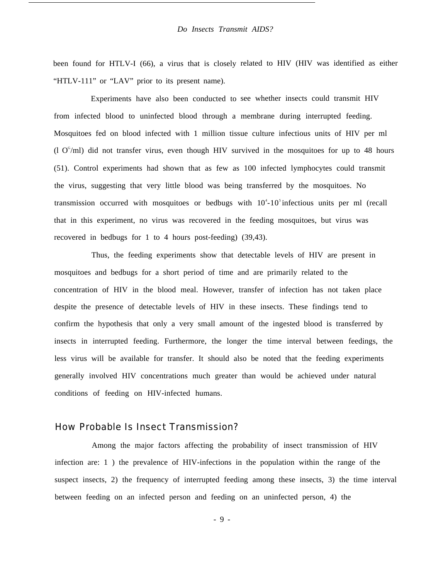been found for HTLV-I (66), a virus that is closely related to HIV (HIV was identified as either "HTLV-111" or "LAV" prior to its present name).

Experiments have also been conducted to see whether insects could transmit HIV from infected blood to uninfected blood through a membrane during interrupted feeding. Mosquitoes fed on blood infected with 1 million tissue culture infectious units of HIV per ml  $(1 \text{ O}^{6}/\text{ml})$  did not transfer virus, even though HIV survived in the mosquitoes for up to 48 hours (51). Control experiments had shown that as few as 100 infected lymphocytes could transmit the virus, suggesting that very little blood was being transferred by the mosquitoes. No transmission occurred with mosquitoes or bedbugs with  $10^4$ - $10^5$  infectious units per ml (recall that in this experiment, no virus was recovered in the feeding mosquitoes, but virus was recovered in bedbugs for 1 to 4 hours post-feeding) (39,43).

Thus, the feeding experiments show that detectable levels of HIV are present in mosquitoes and bedbugs for a short period of time and are primarily related to the concentration of HIV in the blood meal. However, transfer of infection has not taken place despite the presence of detectable levels of HIV in these insects. These findings tend to confirm the hypothesis that only a very small amount of the ingested blood is transferred by insects in interrupted feeding. Furthermore, the longer the time interval between feedings, the less virus will be available for transfer. It should also be noted that the feeding experiments generally involved HIV concentrations much greater than would be achieved under natural conditions of feeding on HIV-infected humans.

### How Probable Is Insect Transmission?

Among the major factors affecting the probability of insect transmission of HIV infection are: 1 ) the prevalence of HIV-infections in the population within the range of the suspect insects, 2) the frequency of interrupted feeding among these insects, 3) the time interval between feeding on an infected person and feeding on an uninfected person, 4) the

- 9 -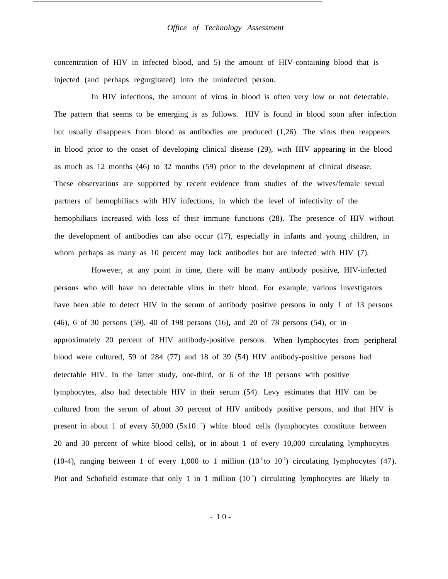#### *Office of Technology Assessment*

concentration of HIV in infected blood, and 5) the amount of HIV-containing blood that is injected (and perhaps regurgitated) into the uninfected person.

In HIV infections, the amount of virus in blood is often very low or not detectable. The pattern that seems to be emerging is as follows. HIV is found in blood soon after infection but usually disappears from blood as antibodies are produced (1,26). The virus then reappears in blood prior to the onset of developing clinical disease (29), with HIV appearing in the blood as much as 12 months (46) to 32 months (59) prior to the development of clinical disease. These observations are supported by recent evidence from studies of the wives/female sexual partners of hemophiliacs with HIV infections, in which the level of infectivity of the hemophiliacs increased with loss of their immune functions (28). The presence of HIV without the development of antibodies can also occur (17), especially in infants and young children, in whom perhaps as many as 10 percent may lack antibodies but are infected with HIV (7).

However, at any point in time, there will be many antibody positive, HIV-infected persons who will have no detectable virus in their blood. For example, various investigators have been able to detect HIV in the serum of antibody positive persons in only 1 of 13 persons (46), 6 of 30 persons (59), 40 of 198 persons (16), and 20 of 78 persons (54), or in approximately 20 percent of HIV antibody-positive persons. When lymphocytes from peripheral blood were cultured, 59 of 284 (77) and 18 of 39 (54) HIV antibody-positive persons had detectable HIV. In the latter study, one-third, or 6 of the 18 persons with positive lymphocytes, also had detectable HIV in their serum (54). Levy estimates that HIV can be cultured from the serum of about 30 percent of HIV antibody positive persons, and that HIV is present in about 1 of every 50,000 (5x10 $\rightarrow$ ) white blood cells (lymphocytes constitute between 20 and 30 percent of white blood cells), or in about 1 of every 10,000 circulating lymphocytes (10-4), ranging between 1 of every 1,000 to 1 million ( $10^{-3}$  to  $10^{-6}$ ) circulating lymphocytes (47). Piot and Schofield estimate that only 1 in 1 million  $(10<sup>-6</sup>)$  circulating lymphocytes are likely to

- 1 0 -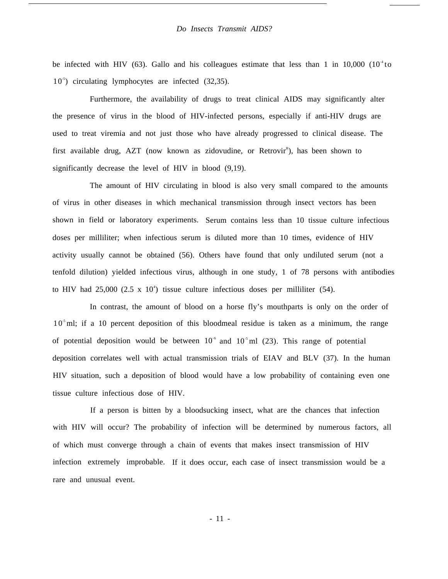be infected with HIV (63). Gallo and his colleagues estimate that less than 1 in 10,000 ( $10^4$  to 10<sup>5</sup>) circulating lymphocytes are infected (32,35).

Furthermore, the availability of drugs to treat clinical AIDS may significantly alter the presence of virus in the blood of HIV-infected persons, especially if anti-HIV drugs are used to treat viremia and not just those who have already progressed to clinical disease. The first available drug, AZT (now known as zidovudine, or Retrovir<sup>R</sup>), has been shown to significantly decrease the level of HIV in blood (9,19).

The amount of HIV circulating in blood is also very small compared to the amounts of virus in other diseases in which mechanical transmission through insect vectors has been shown in field or laboratory experiments. Serum contains less than 10 tissue culture infectious doses per milliliter; when infectious serum is diluted more than 10 times, evidence of HIV activity usually cannot be obtained (56). Others have found that only undiluted serum (not a tenfold dilution) yielded infectious virus, although in one study, 1 of 78 persons with antibodies to HIV had  $25,000$  (2.5 x 10<sup>4</sup>) tissue culture infectious doses per milliliter (54).

In contrast, the amount of blood on a horse fly's mouthparts is only on the order of 10<sup>5</sup> ml; if a 10 percent deposition of this bloodmeal residue is taken as a minimum, the range of potential deposition would be between  $10<sup>-6</sup>$  and  $10<sup>-5</sup>$  ml (23). This range of potential deposition correlates well with actual transmission trials of EIAV and BLV (37). In the human HIV situation, such a deposition of blood would have a low probability of containing even one tissue culture infectious dose of HIV.

If a person is bitten by a bloodsucking insect, what are the chances that infection with HIV will occur? The probability of infection will be determined by numerous factors, all of which must converge through a chain of events that makes insect transmission of HIV infection extremely improbable. If it does occur, each case of insect transmission would be a rare and unusual event.

- 11 -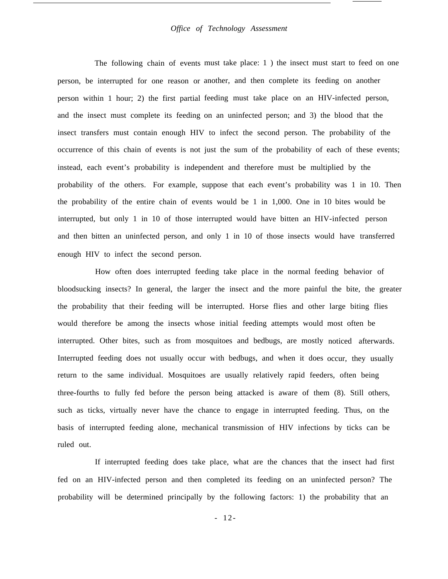#### *Office of Technology Assessment*

The following chain of events must take place: 1) the insect must start to feed on one person, be interrupted for one reason or another, and then complete its feeding on another person within 1 hour; 2) the first partial feeding must take place on an HIV-infected person, and the insect must complete its feeding on an uninfected person; and 3) the blood that the insect transfers must contain enough HIV to infect the second person. The probability of the occurrence of this chain of events is not just the sum of the probability of each of these events; instead, each event's probability is independent and therefore must be multiplied by the probability of the others. For example, suppose that each event's probability was 1 in 10. Then the probability of the entire chain of events would be 1 in 1,000. One in 10 bites would be interrupted, but only 1 in 10 of those interrupted would have bitten an HIV-infected person and then bitten an uninfected person, and only 1 in 10 of those insects would have transferred enough HIV to infect the second person.

How often does interrupted feeding take place in the normal feeding behavior of bloodsucking insects? In general, the larger the insect and the more painful the bite, the greater the probability that their feeding will be interrupted. Horse flies and other large biting flies would therefore be among the insects whose initial feeding attempts would most often be interrupted. Other bites, such as from mosquitoes and bedbugs, are mostly noticed afterwards. Interrupted feeding does not usually occur with bedbugs, and when it does occur, they usually return to the same individual. Mosquitoes are usually relatively rapid feeders, often being three-fourths to fully fed before the person being attacked is aware of them (8). Still others, such as ticks, virtually never have the chance to engage in interrupted feeding. Thus, on the basis of interrupted feeding alone, mechanical transmission of HIV infections by ticks can be ruled out.

If interrupted feeding does take place, what are the chances that the insect had first fed on an HIV-infected person and then completed its feeding on an uninfected person? The probability will be determined principally by the following factors: 1) the probability that an

- 12-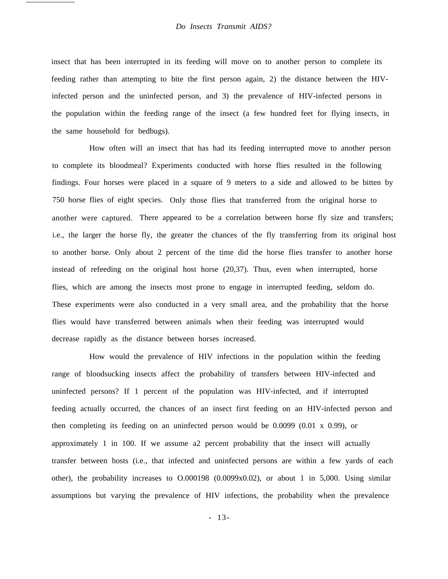insect that has been interrupted in its feeding will move on to another person to complete its feeding rather than attempting to bite the first person again, 2) the distance between the HIVinfected person and the uninfected person, and 3) the prevalence of HIV-infected persons in the population within the feeding range of the insect (a few hundred feet for flying insects, in the same household for bedbugs).

How often will an insect that has had its feeding interrupted move to another person to complete its bloodmeal? Experiments conducted with horse flies resulted in the following findings. Four horses were placed in a square of 9 meters to a side and allowed to be bitten by 750 horse flies of eight species. Only those flies that transferred from the original horse to another were captured. There appeared to be a correlation between horse fly size and transfers; i.e., the larger the horse fly, the greater the chances of the fly transferring from its original host to another horse. Only about 2 percent of the time did the horse flies transfer to another horse instead of refeeding on the original host horse (20,37). Thus, even when interrupted, horse flies, which are among the insects most prone to engage in interrupted feeding, seldom do. These experiments were also conducted in a very small area, and the probability that the horse flies would have transferred between animals when their feeding was interrupted would decrease rapidly as the distance between horses increased.

How would the prevalence of HIV infections in the population within the feeding range of bloodsucking insects affect the probability of transfers between HIV-infected and uninfected persons? If 1 percent of the population was HIV-infected, and if interrupted feeding actually occurred, the chances of an insect first feeding on an HIV-infected person and then completing its feeding on an uninfected person would be 0.0099 (0.01 x 0.99), or approximately 1 in 100. If we assume a2 percent probability that the insect will actually transfer between hosts (i.e., that infected and uninfected persons are within a few yards of each other), the probability increases to O.000198 (0.0099x0.02), or about 1 in 5,000. Using similar assumptions but varying the prevalence of HIV infections, the probability when the prevalence

- 13-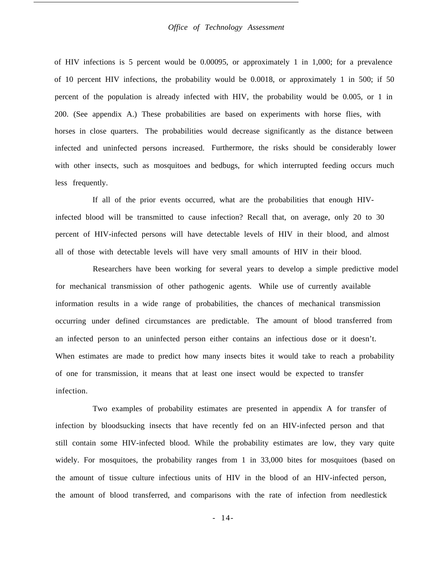#### *Office of Technology Assessment*

of HIV infections is 5 percent would be 0.00095, or approximately 1 in 1,000; for a prevalence of 10 percent HIV infections, the probability would be 0.0018, or approximately 1 in 500; if 50 percent of the population is already infected with HIV, the probability would be 0.005, or 1 in 200. (See appendix A.) These probabilities are based on experiments with horse flies, with horses in close quarters. The probabilities would decrease significantly as the distance between infected and uninfected persons increased. Furthermore, the risks should be considerably lower with other insects, such as mosquitoes and bedbugs, for which interrupted feeding occurs much less frequently.

If all of the prior events occurred, what are the probabilities that enough HIVinfected blood will be transmitted to cause infection? Recall that, on average, only 20 to 30 percent of HIV-infected persons will have detectable levels of HIV in their blood, and almost all of those with detectable levels will have very small amounts of HIV in their blood.

Researchers have been working for several years to develop a simple predictive model for mechanical transmission of other pathogenic agents. While use of currently available information results in a wide range of probabilities, the chances of mechanical transmission occurring under defined circumstances are predictable. The amount of blood transferred from an infected person to an uninfected person either contains an infectious dose or it doesn't. When estimates are made to predict how many insects bites it would take to reach a probability of one for transmission, it means that at least one insect would be expected to transfer infection.

Two examples of probability estimates are presented in appendix A for transfer of infection by bloodsucking insects that have recently fed on an HIV-infected person and that still contain some HIV-infected blood. While the probability estimates are low, they vary quite widely. For mosquitoes, the probability ranges from 1 in 33,000 bites for mosquitoes (based on the amount of tissue culture infectious units of HIV in the blood of an HIV-infected person, the amount of blood transferred, and comparisons with the rate of infection from needlestick

- 14-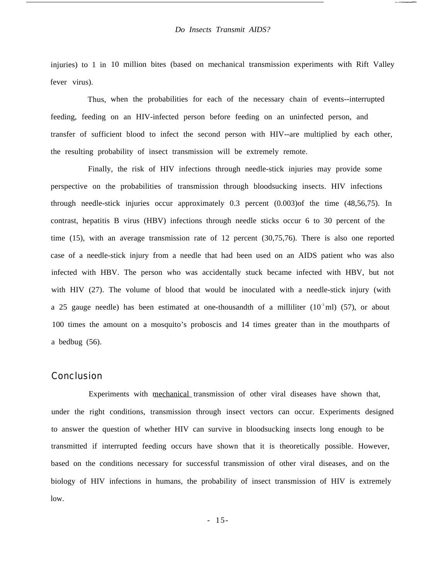injuries) to 1 in 10 million bites (based on mechanical transmission experiments with Rift Valley fever virus).

Thus, when the probabilities for each of the necessary chain of events--interrupted feeding, feeding on an HIV-infected person before feeding on an uninfected person, and transfer of sufficient blood to infect the second person with HIV--are multiplied by each other, the resulting probability of insect transmission will be extremely remote.

Finally, the risk of HIV infections through needle-stick injuries may provide some perspective on the probabilities of transmission through bloodsucking insects. HIV infections through needle-stick injuries occur approximately 0.3 percent (0.003)of the time (48,56,75). In contrast, hepatitis B virus (HBV) infections through needle sticks occur 6 to 30 percent of the time (15), with an average transmission rate of 12 percent (30,75,76). There is also one reported case of a needle-stick injury from a needle that had been used on an AIDS patient who was also infected with HBV. The person who was accidentally stuck became infected with HBV, but not with HIV (27). The volume of blood that would be inoculated with a needle-stick injury (with a 25 gauge needle) has been estimated at one-thousandth of a milliliter  $(10<sup>3</sup>$ ml) (57), or about 100 times the amount on a mosquito's proboscis and 14 times greater than in the mouthparts of a bedbug (56).

## **Conclusion**

Experiments with mechanical transmission of other viral diseases have shown that, under the right conditions, transmission through insect vectors can occur. Experiments designed to answer the question of whether HIV can survive in bloodsucking insects long enough to be transmitted if interrupted feeding occurs have shown that it is theoretically possible. However, based on the conditions necessary for successful transmission of other viral diseases, and on the biology of HIV infections in humans, the probability of insect transmission of HIV is extremely low.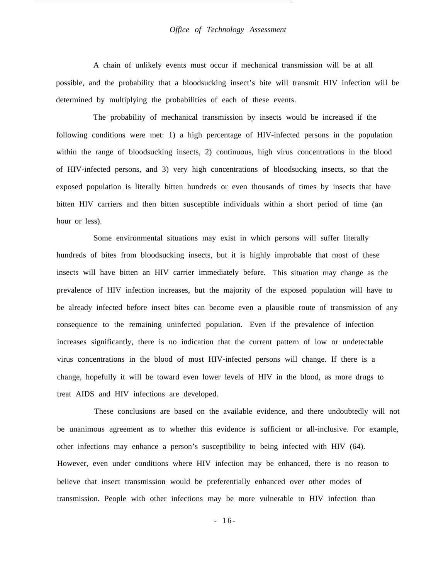#### *Office of Technology Assessment*

A chain of unlikely events must occur if mechanical transmission will be at all possible, and the probability that a bloodsucking insect's bite will transmit HIV infection will be determined by multiplying the probabilities of each of these events.

The probability of mechanical transmission by insects would be increased if the following conditions were met: 1) a high percentage of HIV-infected persons in the population within the range of bloodsucking insects, 2) continuous, high virus concentrations in the blood of HIV-infected persons, and 3) very high concentrations of bloodsucking insects, so that the exposed population is literally bitten hundreds or even thousands of times by insects that have bitten HIV carriers and then bitten susceptible individuals within a short period of time (an hour or less).

Some environmental situations may exist in which persons will suffer literally hundreds of bites from bloodsucking insects, but it is highly improbable that most of these insects will have bitten an HIV carrier immediately before. This situation may change as the prevalence of HIV infection increases, but the majority of the exposed population will have to be already infected before insect bites can become even a plausible route of transmission of any consequence to the remaining uninfected population. Even if the prevalence of infection increases significantly, there is no indication that the current pattern of low or undetectable virus concentrations in the blood of most HIV-infected persons will change. If there is a change, hopefully it will be toward even lower levels of HIV in the blood, as more drugs to treat AIDS and HIV infections are developed.

These conclusions are based on the available evidence, and there undoubtedly will not be unanimous agreement as to whether this evidence is sufficient or all-inclusive. For example, other infections may enhance a person's susceptibility to being infected with HIV (64). However, even under conditions where HIV infection may be enhanced, there is no reason to believe that insect transmission would be preferentially enhanced over other modes of transmission. People with other infections may be more vulnerable to HIV infection than

- 16-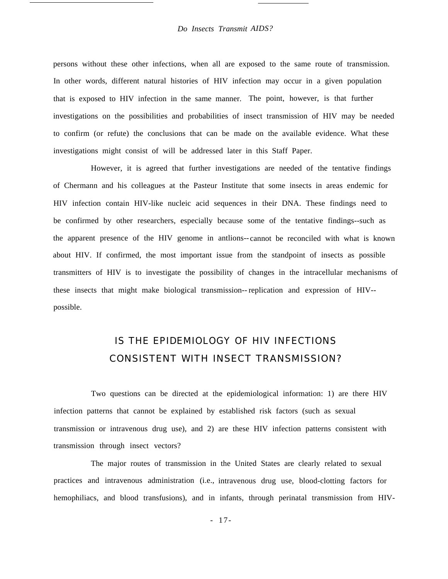persons without these other infections, when all are exposed to the same route of transmission. In other words, different natural histories of HIV infection may occur in a given population that is exposed to HIV infection in the same manner. The point, however, is that further investigations on the possibilities and probabilities of insect transmission of HIV may be needed to confirm (or refute) the conclusions that can be made on the available evidence. What these investigations might consist of will be addressed later in this Staff Paper.

However, it is agreed that further investigations are needed of the tentative findings of Chermann and his colleagues at the Pasteur Institute that some insects in areas endemic for HIV infection contain HIV-like nucleic acid sequences in their DNA. These findings need to be confirmed by other researchers, especially because some of the tentative findings--such as the apparent presence of the HIV genome in antlions-- cannot be reconciled with what is known about HIV. If confirmed, the most important issue from the standpoint of insects as possible transmitters of HIV is to investigate the possibility of changes in the intracellular mechanisms of these insects that might make biological transmission-- replication and expression of HIV- possible.

# IS THE EPIDEMIOLOGY OF HIV INFECTIONS CONSISTENT WITH INSECT TRANSMISSION?

Two questions can be directed at the epidemiological information: 1) are there HIV infection patterns that cannot be explained by established risk factors (such as sexual transmission or intravenous drug use), and 2) are these HIV infection patterns consistent with transmission through insect vectors?

The major routes of transmission in the United States are clearly related to sexual practices and intravenous administration (i.e., intravenous drug use, blood-clotting factors for hemophiliacs, and blood transfusions), and in infants, through perinatal transmission from HIV-

- 17-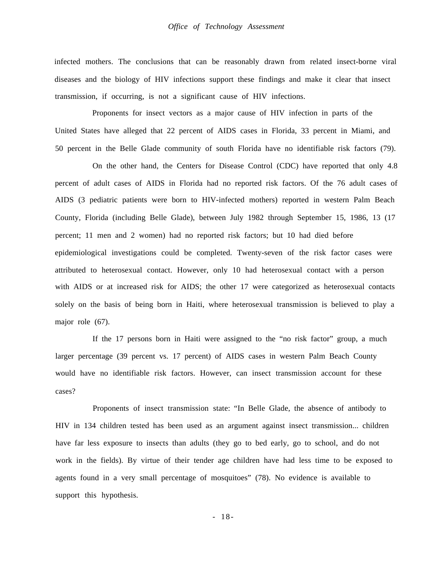infected mothers. The conclusions that can be reasonably drawn from related insect-borne viral diseases and the biology of HIV infections support these findings and make it clear that insect transmission, if occurring, is not a significant cause of HIV infections.

Proponents for insect vectors as a major cause of HIV infection in parts of the United States have alleged that 22 percent of AIDS cases in Florida, 33 percent in Miami, and 50 percent in the Belle Glade community of south Florida have no identifiable risk factors (79).

On the other hand, the Centers for Disease Control (CDC) have reported that only 4.8 percent of adult cases of AIDS in Florida had no reported risk factors. Of the 76 adult cases of AIDS (3 pediatric patients were born to HIV-infected mothers) reported in western Palm Beach County, Florida (including Belle Glade), between July 1982 through September 15, 1986, 13 (17 percent; 11 men and 2 women) had no reported risk factors; but 10 had died before epidemiological investigations could be completed. Twenty-seven of the risk factor cases were attributed to heterosexual contact. However, only 10 had heterosexual contact with a person with AIDS or at increased risk for AIDS; the other 17 were categorized as heterosexual contacts solely on the basis of being born in Haiti, where heterosexual transmission is believed to play a major role (67).

If the 17 persons born in Haiti were assigned to the "no risk factor" group, a much larger percentage (39 percent vs. 17 percent) of AIDS cases in western Palm Beach County would have no identifiable risk factors. However, can insect transmission account for these cases?

Proponents of insect transmission state: "In Belle Glade, the absence of antibody to HIV in 134 children tested has been used as an argument against insect transmission... children have far less exposure to insects than adults (they go to bed early, go to school, and do not work in the fields). By virtue of their tender age children have had less time to be exposed to agents found in a very small percentage of mosquitoes" (78). No evidence is available to support this hypothesis.

- 18-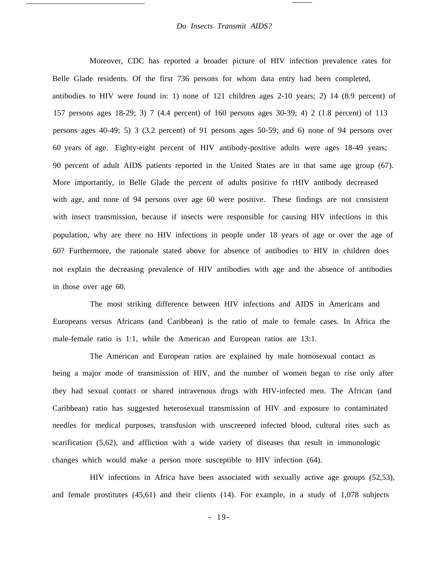Moreover, CDC has reported a broader picture of HIV infection prevalence rates for Belle Glade residents. Of the first 736 persons for whom data entry had been completed, antibodies to HIV were found in: 1) none of 121 children ages 2-10 years; 2) 14 (8.9 percent) of 157 persons ages 18-29; 3) 7 (4.4 percent) of 160 persons ages 30-39; 4) 2 (1.8 percent) of 113 persons ages 40-49; 5) 3 (3.2 percent) of 91 persons ages 50-59; and 6) none of 94 persons over 60 years of age. Eighty-eight percent of HIV antibody-positive adults were ages 18-49 years; 90 percent of adult AIDS patients reported in the United States are in that same age group (67). More importantly, in Belle Glade the percent of adults positive fo rHIV antibody decreased with age, and none of 94 persons over age 60 were positive. These findings are not consistent with insect transmission, because if insects were responsible for causing HIV infections in this population, why are there no HIV infections in people under 18 years of age or over the age of 60? Furthermore, the rationale stated above for absence of antibodies to HIV in children does not explain the decreasing prevalence of HIV antibodies with age and the absence of antibodies in those over age 60.

The most striking difference between HIV infections and AIDS in Americans and Europeans versus Africans (and Caribbean) is the ratio of male to female cases. In Africa the male-female ratio is 1:1, while the American and European ratios are 13:1.

The American and European ratios are explained by male homosexual contact as being a major mode of transmission of HIV, and the number of women began to rise only after they had sexual contact or shared intravenous drugs with HIV-infected men. The African (and Caribbean) ratio has suggested heterosexual transmission of HIV and exposure to contaminated needles for medical purposes, transfusion with unscreened infected blood, cultural rites such as scarification (5,62), and affliction with a wide variety of diseases that result in immunologic changes which would make a person more susceptible to HIV infection (64).

HIV infections in Africa have been associated with sexually active age groups (52,53), and female prostitutes (45,61) and their clients (14). For example, in a study of 1,078 subjects

- 19-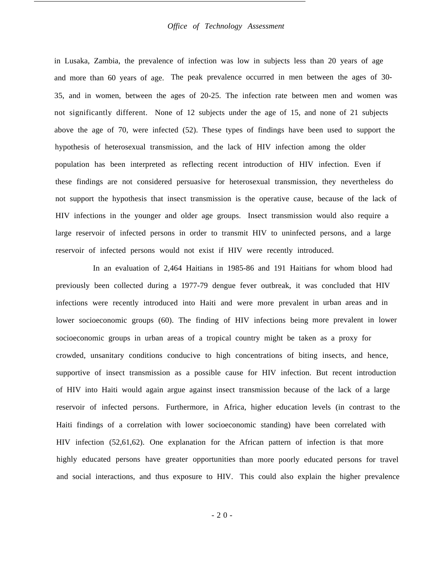#### *Office of Technology Assessment*

in Lusaka, Zambia, the prevalence of infection was low in subjects less than 20 years of age and more than 60 years of age. The peak prevalence occurred in men between the ages of 30- 35, and in women, between the ages of 20-25. The infection rate between men and women was not significantly different. None of 12 subjects under the age of 15, and none of 21 subjects above the age of 70, were infected (52). These types of findings have been used to support the hypothesis of heterosexual transmission, and the lack of HIV infection among the older population has been interpreted as reflecting recent introduction of HIV infection. Even if these findings are not considered persuasive for heterosexual transmission, they nevertheless do not support the hypothesis that insect transmission is the operative cause, because of the lack of HIV infections in the younger and older age groups. Insect transmission would also require a large reservoir of infected persons in order to transmit HIV to uninfected persons, and a large reservoir of infected persons would not exist if HIV were recently introduced.

In an evaluation of 2,464 Haitians in 1985-86 and 191 Haitians for whom blood had previously been collected during a 1977-79 dengue fever outbreak, it was concluded that HIV infections were recently introduced into Haiti and were more prevalent in urban areas and in lower socioeconomic groups (60). The finding of HIV infections being more prevalent in lower socioeconomic groups in urban areas of a tropical country might be taken as a proxy for crowded, unsanitary conditions conducive to high concentrations of biting insects, and hence, supportive of insect transmission as a possible cause for HIV infection. But recent introduction of HIV into Haiti would again argue against insect transmission because of the lack of a large reservoir of infected persons. Furthermore, in Africa, higher education levels (in contrast to the Haiti findings of a correlation with lower socioeconomic standing) have been correlated with HIV infection (52,61,62). One explanation for the African pattern of infection is that more highly educated persons have greater opportunities than more poorly educated persons for travel and social interactions, and thus exposure to HIV. This could also explain the higher prevalence

-20 -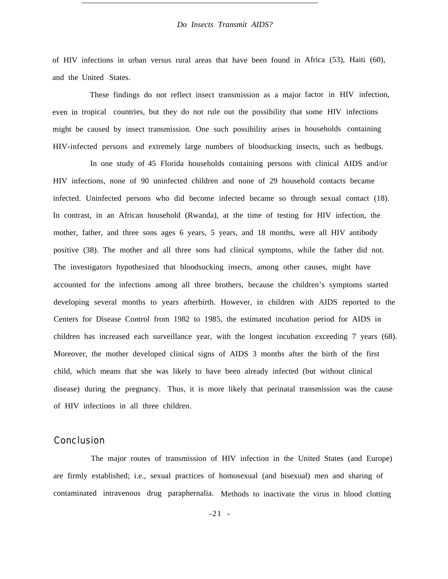of HIV infections in urban versus rural areas that have been found in Africa (53), Haiti (60), and the United States.

even in tropical countries, but they do not rule out the possibility that some HIV infections These findings do not reflect insect transmission as a major factor in HIV infection, might be caused by insect transmission. One such possibility arises in households containing HIV-infected persons and extremely large numbers of bloodsucking insects, such as bedbugs.

In one study of 45 Florida households containing persons with clinical AIDS and/or HIV infections, none of 90 uninfected children and none of 29 household contacts became infected. Uninfected persons who did become infected became so through sexual contact (18). In contrast, in an African household (Rwanda), at the time of testing for HIV infection, the mother, father, and three sons ages 6 years, 5 years, and 18 months, were all HIV antibody positive (38). The mother and all three sons had clinical symptoms, while the father did not. The investigators hypothesized that bloodsucking insects, among other causes, might have accounted for the infections among all three brothers, because the children's symptoms started developing several months to years afterbirth. However, in children with AIDS reported to the Centers for Disease Control from 1982 to 1985, the estimated incubation period for AIDS in children has increased each surveillance year, with the longest incubation exceeding 7 years (68). Moreover, the mother developed clinical signs of AIDS 3 months after the birth of the first child, which means that she was likely to have been already infected (but without clinical disease) during the pregnancy. Thus, it is more likely that perinatal transmission was the cause of HIV infections in all three children.

## Conclusion

The major routes of transmission of HIV infection in the United States (and Europe) are firmly established; i.e., sexual practices of homosexual (and bisexual) men and sharing of contaminated intravenous drug paraphernalia. Methods to inactivate the virus in blood clotting

 $-21 -$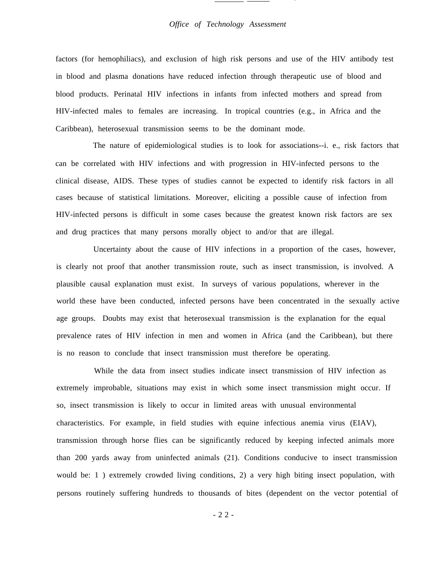#### *Office of Technology Assessment*

.

factors (for hemophiliacs), and exclusion of high risk persons and use of the HIV antibody test in blood and plasma donations have reduced infection through therapeutic use of blood and blood products. Perinatal HIV infections in infants from infected mothers and spread from HIV-infected males to females are increasing. In tropical countries (e.g., in Africa and the Caribbean), heterosexual transmission seems to be the dominant mode.

The nature of epidemiological studies is to look for associations--i. e., risk factors that can be correlated with HIV infections and with progression in HIV-infected persons to the clinical disease, AIDS. These types of studies cannot be expected to identify risk factors in all cases because of statistical limitations. Moreover, eliciting a possible cause of infection from HIV-infected persons is difficult in some cases because the greatest known risk factors are sex and drug practices that many persons morally object to and/or that are illegal.

Uncertainty about the cause of HIV infections in a proportion of the cases, however, is clearly not proof that another transmission route, such as insect transmission, is involved. A plausible causal explanation must exist. In surveys of various populations, wherever in the world these have been conducted, infected persons have been concentrated in the sexually active age groups. Doubts may exist that heterosexual transmission is the explanation for the equal prevalence rates of HIV infection in men and women in Africa (and the Caribbean), but there is no reason to conclude that insect transmission must therefore be operating.

While the data from insect studies indicate insect transmission of HIV infection as extremely improbable, situations may exist in which some insect transmission might occur. If so, insect transmission is likely to occur in limited areas with unusual environmental characteristics. For example, in field studies with equine infectious anemia virus (EIAV), transmission through horse flies can be significantly reduced by keeping infected animals more than 200 yards away from uninfected animals (21). Conditions conducive to insect transmission would be: 1 ) extremely crowded living conditions, 2) a very high biting insect population, with persons routinely suffering hundreds to thousands of bites (dependent on the vector potential of

-22 -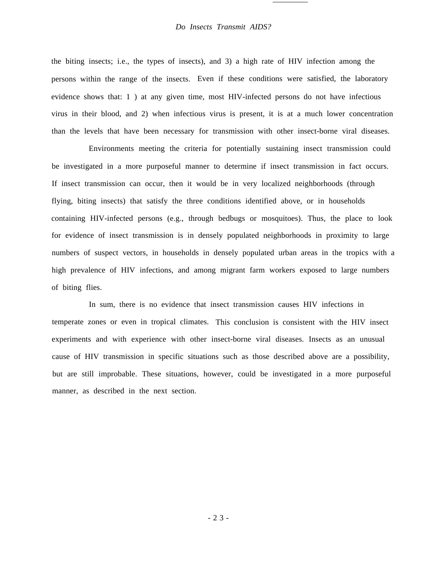the biting insects; i.e., the types of insects), and 3) a high rate of HIV infection among the persons within the range of the insects. Even if these conditions were satisfied, the laboratory evidence shows that: 1 ) at any given time, most HIV-infected persons do not have infectious virus in their blood, and 2) when infectious virus is present, it is at a much lower concentration than the levels that have been necessary for transmission with other insect-borne viral diseases.

Environments meeting the criteria for potentially sustaining insect transmission could be investigated in a more purposeful manner to determine if insect transmission in fact occurs. If insect transmission can occur, then it would be in very localized neighborhoods (through flying, biting insects) that satisfy the three conditions identified above, or in households containing HIV-infected persons (e.g., through bedbugs or mosquitoes). Thus, the place to look for evidence of insect transmission is in densely populated neighborhoods in proximity to large numbers of suspect vectors, in households in densely populated urban areas in the tropics with a high prevalence of HIV infections, and among migrant farm workers exposed to large numbers of biting flies.

In sum, there is no evidence that insect transmission causes HIV infections in temperate zones or even in tropical climates. This conclusion is consistent with the HIV insect experiments and with experience with other insect-borne viral diseases. Insects as an unusual cause of HIV transmission in specific situations such as those described above are a possibility, but are still improbable. These situations, however, could be investigated in a more purposeful manner, as described in the next section.

-23 -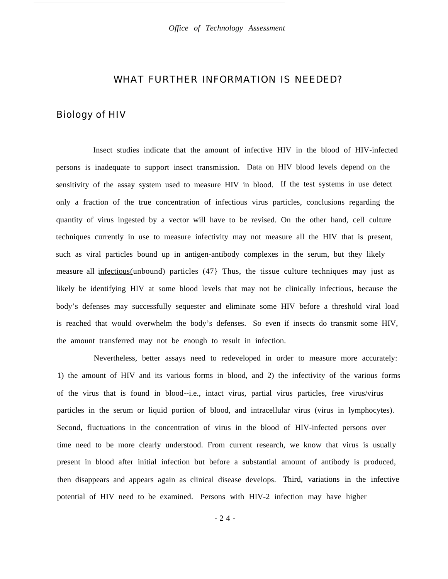## WHAT FURTHER INFORMATION IS NEEDED?

## Biology of HIV

Insect studies indicate that the amount of infective HIV in the blood of HIV-infected persons is inadequate to support insect transmission. Data on HIV blood levels depend on the sensitivity of the assay system used to measure HIV in blood. If the test systems in use detect only a fraction of the true concentration of infectious virus particles, conclusions regarding the quantity of virus ingested by a vector will have to be revised. On the other hand, cell culture techniques currently in use to measure infectivity may not measure all the HIV that is present, such as viral particles bound up in antigen-antibody complexes in the serum, but they likely measure all infectious(unbound) particles (47} Thus, the tissue culture techniques may just as likely be identifying HIV at some blood levels that may not be clinically infectious, because the body's defenses may successfully sequester and eliminate some HIV before a threshold viral load is reached that would overwhelm the body's defenses. So even if insects do transmit some HIV, the amount transferred may not be enough to result in infection.

Nevertheless, better assays need to redeveloped in order to measure more accurately: 1) the amount of HIV and its various forms in blood, and 2) the infectivity of the various forms of the virus that is found in blood--i.e., intact virus, partial virus particles, free virus/virus particles in the serum or liquid portion of blood, and intracellular virus (virus in lymphocytes). Second, fluctuations in the concentration of virus in the blood of HIV-infected persons over time need to be more clearly understood. From current research, we know that virus is usually present in blood after initial infection but before a substantial amount of antibody is produced, then disappears and appears again as clinical disease develops. Third, variations in the infective potential of HIV need to be examined. Persons with HIV-2 infection may have higher

-24 -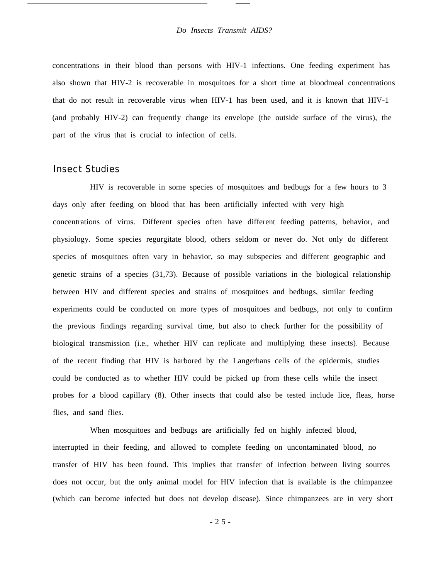concentrations in their blood than persons with HIV-1 infections. One feeding experiment has also shown that HIV-2 is recoverable in mosquitoes for a short time at bloodmeal concentrations that do not result in recoverable virus when HIV-1 has been used, and it is known that HIV-1 (and probably HIV-2) can frequently change its envelope (the outside surface of the virus), the part of the virus that is crucial to infection of cells.

## Insect Studies

HIV is recoverable in some species of mosquitoes and bedbugs for a few hours to 3 days only after feeding on blood that has been artificially infected with very high concentrations of virus. Different species often have different feeding patterns, behavior, and physiology. Some species regurgitate blood, others seldom or never do. Not only do different species of mosquitoes often vary in behavior, so may subspecies and different geographic and genetic strains of a species (31,73). Because of possible variations in the biological relationship between HIV and different species and strains of mosquitoes and bedbugs, similar feeding experiments could be conducted on more types of mosquitoes and bedbugs, not only to confirm the previous findings regarding survival time, but also to check further for the possibility of biological transmission (i.e., whether HIV can replicate and multiplying these insects). Because of the recent finding that HIV is harbored by the Langerhans cells of the epidermis, studies could be conducted as to whether HIV could be picked up from these cells while the insect probes for a blood capillary (8). Other insects that could also be tested include lice, fleas, horse flies, and sand flies.

When mosquitoes and bedbugs are artificially fed on highly infected blood, interrupted in their feeding, and allowed to complete feeding on uncontaminated blood, no transfer of HIV has been found. This implies that transfer of infection between living sources does not occur, but the only animal model for HIV infection that is available is the chimpanzee (which can become infected but does not develop disease). Since chimpanzees are in very short

-25 -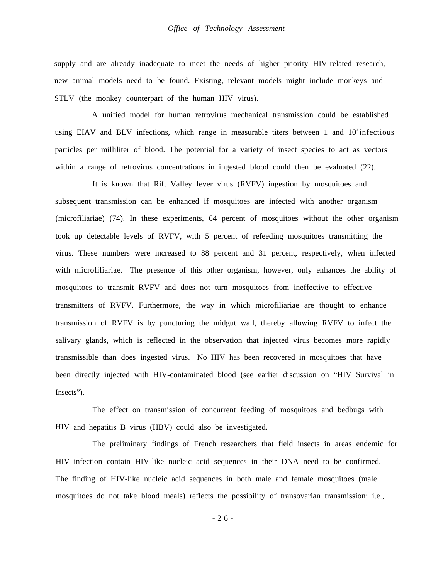supply and are already inadequate to meet the needs of higher priority HIV-related research, new animal models need to be found. Existing, relevant models might include monkeys and STLV (the monkey counterpart of the human HIV virus).

A unified model for human retrovirus mechanical transmission could be established using EIAV and BLV infections, which range in measurable titers between 1 and  $10^{\circ}$  infectious particles per milliliter of blood. The potential for a variety of insect species to act as vectors within a range of retrovirus concentrations in ingested blood could then be evaluated (22).

It is known that Rift Valley fever virus (RVFV) ingestion by mosquitoes and subsequent transmission can be enhanced if mosquitoes are infected with another organism (microfiliariae) (74). In these experiments, 64 percent of mosquitoes without the other organism took up detectable levels of RVFV, with 5 percent of refeeding mosquitoes transmitting the virus. These numbers were increased to 88 percent and 31 percent, respectively, when infected with microfiliariae. The presence of this other organism, however, only enhances the ability of mosquitoes to transmit RVFV and does not turn mosquitoes from ineffective to effective transmitters of RVFV. Furthermore, the way in which microfiliariae are thought to enhance transmission of RVFV is by puncturing the midgut wall, thereby allowing RVFV to infect the salivary glands, which is reflected in the observation that injected virus becomes more rapidly transmissible than does ingested virus. No HIV has been recovered in mosquitoes that have been directly injected with HIV-contaminated blood (see earlier discussion on "HIV Survival in Insects").

HIV and hepatitis B virus (HBV) could also be investigated. The effect on transmission of concurrent feeding of mosquitoes and bedbugs with

HIV infection contain HIV-like nucleic acid sequences in their DNA need to be confirmed. The finding of HIV-like nucleic acid sequences in both male and female mosquitoes (male The preliminary findings of French researchers that field insects in areas endemic for mosquitoes do not take blood meals) reflects the possibility of transovarian transmission; i.e.,

-26 -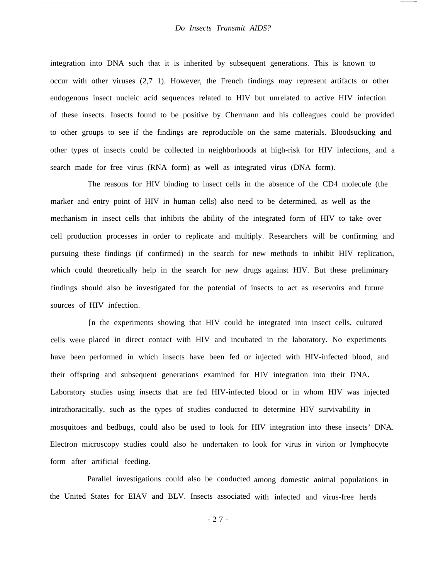integration into DNA such that it is inherited by subsequent generations. This is known to occur with other viruses (2,7 1). However, the French findings may represent artifacts or other endogenous insect nucleic acid sequences related to HIV but unrelated to active HIV infection of these insects. Insects found to be positive by Chermann and his colleagues could be provided to other groups to see if the findings are reproducible on the same materials. Bloodsucking and other types of insects could be collected in neighborhoods at high-risk for HIV infections, and a search made for free virus (RNA form) as well as integrated virus (DNA form).

The reasons for HIV binding to insect cells in the absence of the CD4 molecule (the marker and entry point of HIV in human cells) also need to be determined, as well as the mechanism in insect cells that inhibits the ability of the integrated form of HIV to take over cell production processes in order to replicate and multiply. Researchers will be confirming and pursuing these findings (if confirmed) in the search for new methods to inhibit HIV replication, which could theoretically help in the search for new drugs against HIV. But these preliminary findings should also be investigated for the potential of insects to act as reservoirs and future sources of HIV infection.

cells were placed in direct contact with HIV and incubated in the laboratory. No experiments have been performed in which insects have been fed or injected with HIV-infected blood, and [n the experiments showing that HIV could be integrated into insect cells, cultured their offspring and subsequent generations examined for HIV integration into their DNA. Laboratory studies using insects that are fed HIV-infected blood or in whom HIV was injected intrathoracically, such as the types of studies conducted to determine HIV survivability in mosquitoes and bedbugs, could also be used to look for HIV integration into these insects' DNA. Electron microscopy studies could also be undertaken to look for virus in virion or lymphocyte form after artificial feeding.

Parallel investigations could also be conducted among domestic animal populations in the United States for EIAV and BLV. Insects associated with infected and virus-free herds

-27 -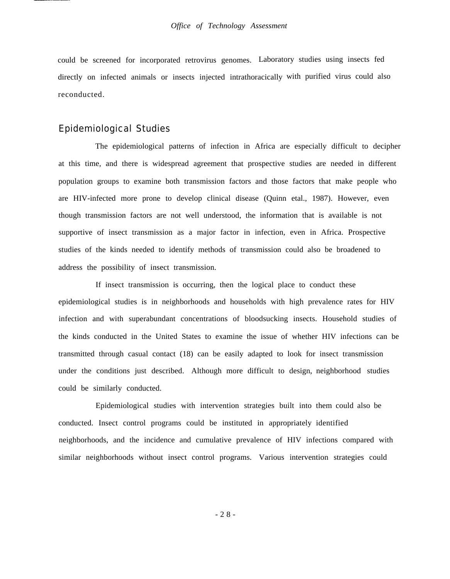could be screened for incorporated retrovirus genomes. Laboratory studies using insects fed directly on infected animals or insects injected intrathoracically with purified virus could also reconducted.

### Epidemiological Studies

The epidemiological patterns of infection in Africa are especially difficult to decipher at this time, and there is widespread agreement that prospective studies are needed in different population groups to examine both transmission factors and those factors that make people who are HIV-infected more prone to develop clinical disease (Quinn etal., 1987). However, even though transmission factors are not well understood, the information that is available is not supportive of insect transmission as a major factor in infection, even in Africa. Prospective studies of the kinds needed to identify methods of transmission could also be broadened to address the possibility of insect transmission.

If insect transmission is occurring, then the logical place to conduct these epidemiological studies is in neighborhoods and households with high prevalence rates for HIV infection and with superabundant concentrations of bloodsucking insects. Household studies of the kinds conducted in the United States to examine the issue of whether HIV infections can be transmitted through casual contact (18) can be easily adapted to look for insect transmission under the conditions just described. Although more difficult to design, neighborhood studies could be similarly conducted.

Epidemiological studies with intervention strategies built into them could also be conducted. Insect control programs could be instituted in appropriately identified neighborhoods, and the incidence and cumulative prevalence of HIV infections compared with similar neighborhoods without insect control programs. Various intervention strategies could

-28 -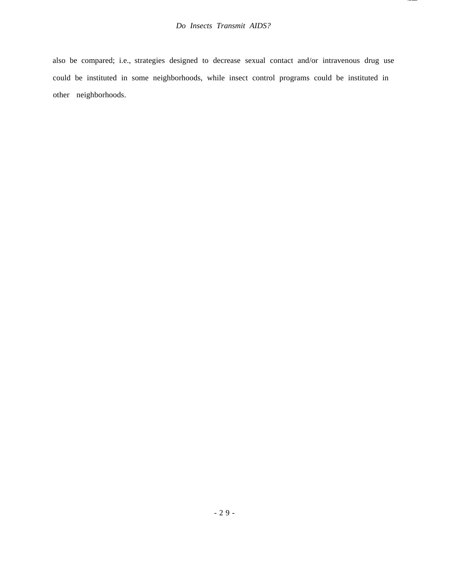also be compared; i.e., strategies designed to decrease sexual contact and/or intravenous drug use could be instituted in some neighborhoods, while insect control programs could be instituted in other neighborhoods.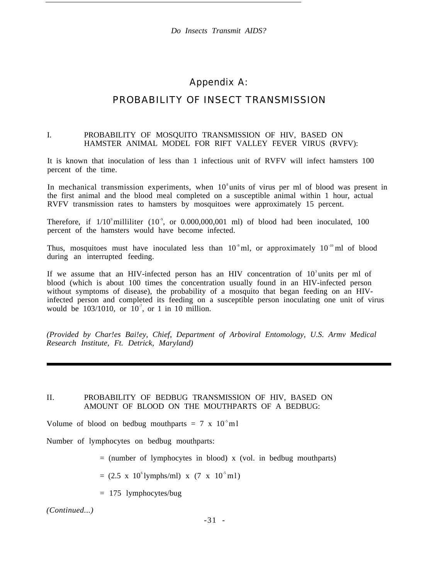## Appendix A:

# PROBABILITY OF INSECT TRANSMISSION

#### I. PROBABILITY OF MOSQUITO TRANSMISSION OF HIV, BASED ON HAMSTER ANIMAL MODEL FOR RIFT VALLEY FEVER VIRUS (RVFV):

It is known that inoculation of less than 1 infectious unit of RVFV will infect hamsters 100 percent of the time.

In mechanical transmission experiments, when  $10^8$  units of virus per ml of blood was present in the first animal and the blood meal completed on a susceptible animal within 1 hour, actual RVFV transmission rates to hamsters by mosquitoes were approximately 15 percent.

Therefore, if  $1/10^9$  milliliter (10<sup>9</sup>, or 0.000,000,001 ml) of blood had been inoculated, 100 percent of the hamsters would have become infected.

Thus, mosquitoes must have inoculated less than  $10^9$  ml, or approximately  $10^{-10}$  ml of blood during an interrupted feeding.

If we assume that an HIV-infected person has an HIV concentration of  $10<sup>3</sup>$  units per ml of blood (which is about 100 times the concentration usually found in an HIV-infected person without symptoms of disease), the probability of a mosquito that began feeding on an HIVinfected person and completed its feeding on a susceptible person inoculating one unit of virus would be  $103/1010$ , or  $10^{-7}$ , or 1 in 10 million.

*(Provided by Char!es Bai!ey, Chief, Department of Arboviral Entomology, U.S. Armv Medical Research Institute, Ft. Detrick, Maryland)*

#### II. PROBABILITY OF BEDBUG TRANSMISSION OF HIV, BASED ON AMOUNT OF BLOOD ON THE MOUTHPARTS OF A BEDBUG:

Volume of blood on bedbug mouthparts = 7 x  $10^{-5}$  ml

Number of lymphocytes on bedbug mouthparts:

 $=$  (number of lymphocytes in blood) x (vol. in bedbug mouthparts)

 $= (2.5 \times 10^{6} \text{lymphs/ml}) \times (7 \times 10^{5} \text{ml})$ 

= 175 lymphocytes/bug

*(Continued...)*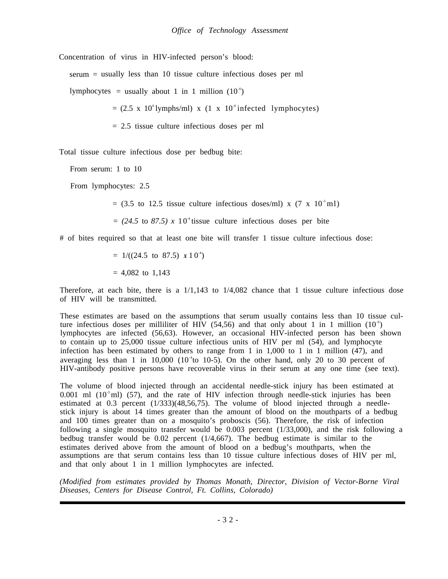Concentration of virus in HIV-infected person's blood:

serum = usually less than 10 tissue culture infectious doses per ml

lymphocytes = usually about 1 in 1 million  $(10^{-6})$ 

 $= (2.5 \times 10^{6} \text{lymphs/ml}) \times (1 \times 10^{6} \text{infectedlymphocytes})$ 

 $= 2.5$  tissue culture infectious doses per ml

Total tissue culture infectious dose per bedbug bite:

From serum: 1 to 10

From lymphocytes: 2.5

 $=$  (3.5 to 12.5 tissue culture infectious doses/ml) x (7 x 10<sup>-5</sup> ml)

 $= (24.5 \text{ to } 87.5) \times 10^4$  tissue culture infectious doses per bite

# of bites required so that at least one bite will transfer 1 tissue culture infectious dose:

 $= 1/((24.5 \text{ to } 87.5) \times 10^{-4})$  $= 4,082$  to 1,143

Therefore, at each bite, there is a  $1/1,143$  to  $1/4,082$  chance that 1 tissue culture infectious dose of HIV will be transmitted.

These estimates are based on the assumptions that serum usually contains less than 10 tissue culture infectious doses per milliliter of HIV (54,56) and that only about 1 in 1 million (10<sup>-6</sup>) lymphocytes are infected (56,63). However, an occasional HIV-infected person has been shown to contain up to 25,000 tissue culture infectious units of HIV per ml (54), and lymphocyte infection has been estimated by others to range from 1 in 1,000 to 1 in 1 million (47), and averaging less than 1 in  $10,000$  ( $10<sup>-4</sup>$ to  $10-5$ ). On the other hand, only 20 to 30 percent of HIV-antibody positive persons have recoverable virus in their serum at any one time (see text).

The volume of blood injected through an accidental needle-stick injury has been estimated at 0.001 ml  $(10^3 \text{ ml})$   $(57)$ , and the rate of HIV infection through needle-stick injuries has been estimated at 0.3 percent (1/333)(48,56,75). The volume of blood injected through a needlestick injury is about 14 times greater than the amount of blood on the mouthparts of a bedbug and 100 times greater than on a mosquito's proboscis (56). Therefore, the risk of infection following a single mosquito transfer would be 0.003 percent (1/33,000), and the risk following a bedbug transfer would be 0.02 percent (1/4,667). The bedbug estimate is similar to the estimates derived above from the amount of blood on a bedbug's mouthparts, when the assumptions are that serum contains less than 10 tissue culture infectious doses of HIV per ml, and that only about 1 in 1 million lymphocytes are infected.

*(Modified from estimates provided by Thomas Monath, Director, Division of Vector-Borne Viral Diseases, Centers for Disease Control, Ft. Collins, Colorado)*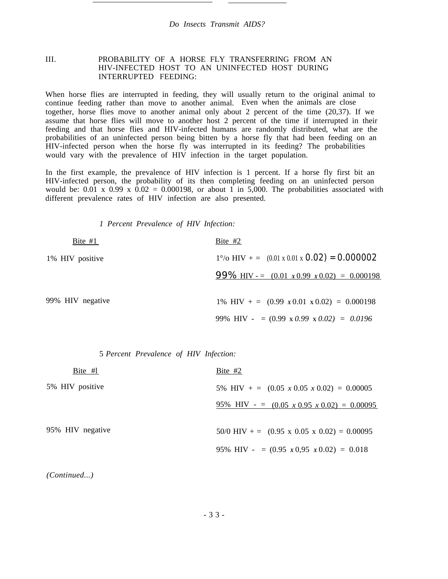#### III. PROBABILITY OF A HORSE FLY TRANSFERRING FROM AN HIV-INFECTED HOST TO AN UNINFECTED HOST DURING INTERRUPTED FEEDING:

When horse flies are interrupted in feeding, they will usually return to the original animal to continue feeding rather than move to another animal. Even when the animals are close together, horse flies move to another animal only about 2 percent of the time (20,37). If we assume that horse flies will move to another host 2 percent of the time if interrupted in their feeding and that horse flies and HIV-infected humans are randomly distributed, what are the probabilities of an uninfected person being bitten by a horse fly that had been feeding on an HIV-infected person when the horse fly was interrupted in its feeding? The probabilities would vary with the prevalence of HIV infection in the target population.

In the first example, the prevalence of HIV infection is 1 percent. If a horse fly first bit an HIV-infected person, the probability of its then completing feeding on an uninfected person would be:  $0.01 \times 0.99 \times 0.02 = 0.000198$ , or about 1 in 5,000. The probabilities associated with different prevalence rates of HIV infection are also presented.

*1 Percent Prevalence of HIV Infection:*

| Bite $#1$        | Bite $#2$                                                                       |
|------------------|---------------------------------------------------------------------------------|
| 1% HIV positive  | $1^{\circ}/\text{o}$ HIV + = $(0.01 \times 0.01 \times$ <b>0.02) = 0.000002</b> |
|                  | <b>99%</b> HIV -= $(0.01 \times 0.99 \times 0.02) = 0.000198$                   |
| 99% HIV negative | 1% HIV + = $(0.99 \times 0.01 \times 0.02) = 0.000198$                          |
|                  | 99% HIV - = $(0.99 \times 0.99 \times 0.02)$ = 0.0196                           |

5 *Percent Prevalence of HIV Infection:*

| Bite $#1$        | Bite $#2$                                                                    |
|------------------|------------------------------------------------------------------------------|
| 5% HIV positive  | 5% HIV + = $(0.05 \times 0.05 \times 0.02) = 0.00005$                        |
|                  | $\frac{95\% \text{ HIV} - 60005 \times 0.95 \times 0.02}{2000095} = 0.00095$ |
| 95% HIV negative | 50/0 HIV + = $(0.95 \times 0.05 \times 0.02) = 0.00095$                      |
|                  | 95% HIV - = $(0.95 \times 0.95 \times 0.02) = 0.018$                         |

*(Continued...)*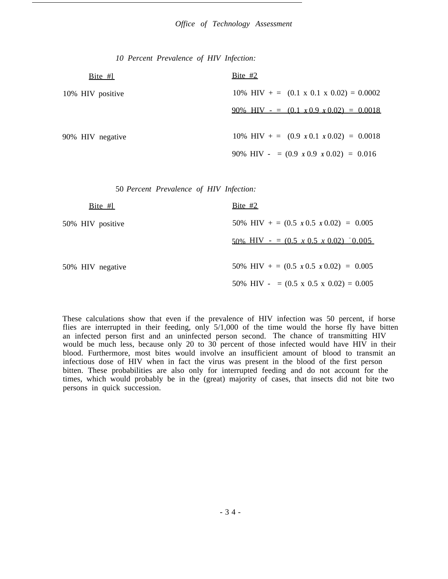*10 Percent Prevalence of HIV Infection:*

| Bite $#l$        | Bite $#2$                                              |
|------------------|--------------------------------------------------------|
| 10% HIV positive | 10% HIV + = $(0.1 \times 0.1 \times 0.02) = 0.0002$    |
|                  | $90\%$ HIV - = $(0.1 \times 0.9 \times 0.02) = 0.0018$ |
| 90% HIV negative | 10% HIV + = $(0.9 \times 0.1 \times 0.02) = 0.0018$    |
|                  | 90% HIV - = $(0.9 \times 0.9 \times 0.02)$ = 0.016     |

50 *Percent Prevalence of HIV Infection:*

| Bite $#L$        | Bite $#2$                                                     |
|------------------|---------------------------------------------------------------|
| 50% HIV positive | 50% HIV + = $(0.5 \times 0.5 \times 0.02) = 0.005$            |
|                  | $50\%$ HIV - = $(0.5 \times 0.5 \times 0.02)$ $\degree$ 0.005 |
| 50% HIV negative | 50% HIV + = $(0.5 \times 0.5 \times 0.02) = 0.005$            |
|                  | 50% HIV - = $(0.5 \times 0.5 \times 0.02) = 0.005$            |

These calculations show that even if the prevalence of HIV infection was 50 percent, if horse flies are interrupted in their feeding, only 5/1,000 of the time would the horse fly have bitten an infected person first and an uninfected person second. The chance of transmitting HIV would be much less, because only 20 to 30 percent of those infected would have HIV in their blood. Furthermore, most bites would involve an insufficient amount of blood to transmit an infectious dose of HIV when in fact the virus was present in the blood of the first person bitten. These probabilities are also only for interrupted feeding and do not account for the times, which would probably be in the (great) majority of cases, that insects did not bite two persons in quick succession.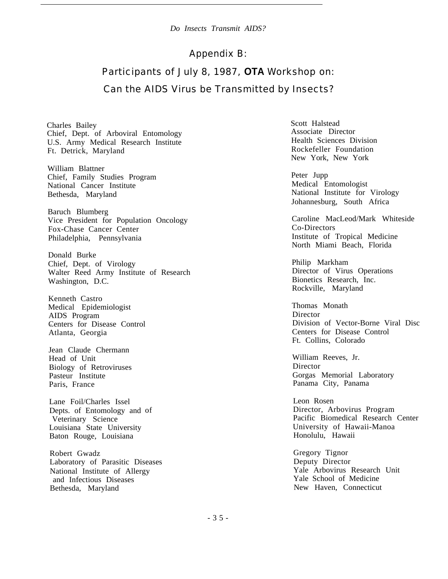## Appendix B:

# Participants of July 8, 1987, **OTA** Workshop on: Can the AIDS Virus be Transmitted by Insects?

Charles Bailey Chief, Dept. of Arboviral Entomology U.S. Army Medical Research Institute Ft. Detrick, Maryland

William Blattner Chief, Family Studies Program National Cancer Institute Bethesda, Maryland

Baruch Blumberg Vice President for Population Oncology Fox-Chase Cancer Center Philadelphia, Pennsylvania

Donald Burke Chief, Dept. of Virology Walter Reed Army Institute of Research Washington, D.C.

Kenneth Castro Medical Epidemiologist AIDS Program Centers for Disease Control Atlanta, Georgia

Jean Claude Chermann Head of Unit Biology of Retroviruses Pasteur Institute Paris, France

Lane Foil/Charles Issel Depts. of Entomology and Veterinary Science Louisiana State University Baton Rouge, Louisiana

Robert Gwadz Laboratory of Parasitic Diseases Deputy Director National Institute of Allergy  $\begin{array}{c|c}\n\text{Yale} & \text{Arbovirus Research Unit} \\
\text{and Infectious Diseases} & \text{Yale School of Medicine}\n\end{array}$ and Infectious Diseases Bethesda, Maryland New Haven, Connecticut

Scott Halstead Associate Director Health Sciences Division Rockefeller Foundation New York, New York

Peter Jupp Medical Entomologist National Institute for Virology Johannesburg, South Africa

Caroline MacLeod/Mark Whiteside Co-Directors Institute of Tropical Medicine North Miami Beach, Florida

Philip Markham Director of Virus Operations Bionetics Research, Inc. Rockville, Maryland

Thomas Monath **Director** Division of Vector-Borne Viral Disc Centers for Disease Control Ft. Collins, Colorado

William Reeves, Jr. Director Gorgas Memorial Laboratory Panama City, Panama

Leon Rosen Director, Arbovirus Program Pacific Biomedical Research Center University of Hawaii-Manoa Honolulu, Hawaii

Gregory Tignor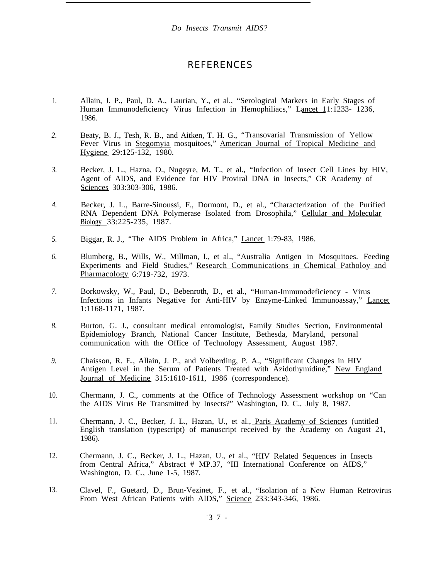## REFERENCES

- 1. Allain, J. P., Paul, D. A., Laurian, Y., et al., "Serological Markers in Early Stages of Human Immunodeficiency Virus Infection in Hemophiliacs," Lancet 11:1233- 1236, 1986.
- *2.* Beaty, B. J., Tesh, R. B., and Aitken, T. H. G., "Transovarial Transmission of Yellow Fever Virus in Stegomyia mosquitoes," American Journal of Tropical Medicine and Hygiene 29:125-132, 1980.
- *3.* Becker, J. L., Hazna, O., Nugeyre, M. T., et al., "Infection of Insect Cell Lines by HIV, Agent of AIDS, and Evidence for HIV Proviral DNA in Insects," CR Academy of Sciences 303:303-306, 1986.
- *4.* Becker, J. L., Barre-Sinoussi, F., Dormont, D., et al., "Characterization of the Purified RNA Dependent DNA Polymerase Isolated from Drosophila," Cellular and Molecular Biology 33:225-235, 1987.
- *5.* Biggar, R. J., "The AIDS Problem in Africa," Lancet 1:79-83, 1986.
- *6.* Blumberg, B., Wills, W., Millman, I., et al., "Australia Antigen in Mosquitoes. Feeding Experiments and Field Studies," Research Communications in Chemical Patholoy and Pharmacology 6:719-732, 1973.
- *7.* Borkowsky, W., Paul, D., Bebenroth, D., et al., "Human-Immunodeficiency - Virus Infections in Infants Negative for Anti-HIV by Enzyme-Linked Immunoassay," Lancet 1:1168-1171, 1987.
- *8.* Burton, G. J., consultant medical entomologist, Family Studies Section, Environmental Epidemiology Branch, National Cancer Institute, Bethesda, Maryland, personal communication with the Office of Technology Assessment, August 1987.
- *9.* Chaisson, R. E., Allain, J. P., and Volberding, P. A., "Significant Changes in HIV Antigen Level in the Serum of Patients Treated with Azidothymidine," New England Journal of Medicine 315:1610-1611, 1986 (correspondence).
- 10. Chermann, J. C., comments at the Office of Technology Assessment workshop on "Can the AIDS Virus Be Transmitted by Insects?" Washington, D. C., July 8, 1987.
- 11. Chermann, J. C., Becker, J. L., Hazan, U., et al., Paris Academy of Sciences (untitled English translation (typescript) of manuscript received by the Academy on August 21, 1986).
- 12. Chermann, J. C., Becker, J. L., Hazan, U., et al., "HIV Related Sequences in Insects from Central Africa," Abstract # MP.37, "III International Conference on AIDS," Washington, D. C., June 1-5, 1987.
- 13. Clavel, F., Guetard, D., Brun-Vezinet, F., et al., "Isolation of a New Human Retrovirus From West African Patients with AIDS," Science 233:343-346, 1986.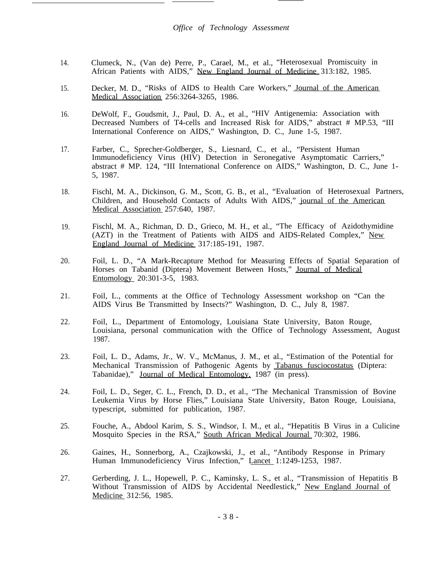- 14. Clumeck, N., (Van de) Perre, P., Carael, M., et al., "Heterosexual Promiscuity in African Patients with AIDS," New England Journal of Medicine 313:182, 1985.
- 15. Decker, M. D., "Risks of AIDS to Health Care Workers," Journal of the American Medical Assoc iation 256:3264-3265, 1986.
- 16. DeWolf, F., Goudsmit, J., Paul, D. A., et al., "HIV Antigenemia: Association with Decreased Numbers of T4-cells and Increased Risk for AIDS," abstract # MP.53, "III International Conference on AIDS," Washington, D. C., June 1-5, 1987.
- 17. Farber, C., Sprecher-Goldberger, S., Liesnard, C., et al., "Persistent Human Immunodeficiency Virus (HIV) Detection in Seronegative Asymptomatic Carriers," abstract # MP. 124, "III International Conference on AIDS," Washington, D. C., June 1- 5, 1987.
- 18. Fischl, M. A., Dickinson, G. M., Scott, G. B., et al., "Evaluation of Heterosexual Partners, Children, and Household Contacts of Adults With AIDS," journal of the American Medical Association 257:640, 1987.
- 19. Fischl, M. A., Richman, D. D., Grieco, M. H., et al., "The Efficacy of Azidothymidine (AZT) in the Treatment of Patients with AIDS and AIDS-Related Complex," New England Journal of Medicine 317:185-191, 1987.
- 20. Foil, L. D., "A Mark-Recapture Method for Measuring Effects of Spatial Separation of Horses on Tabanid (Diptera) Movement Between Hosts," Journal of Medical Entomology 20:301-3-5, 1983.
- 21. Foil, L., comments at the Office of Technology Assessment workshop on "Can the AIDS Virus Be Transmitted by Insects?" Washington, D. C., July 8, 1987.
- 22. Foil, L., Department of Entomology, Louisiana State University, Baton Rouge, Louisiana, personal communication with the Office of Technology Assessment, August 1987.
- 23. Foil, L. D., Adams, Jr., W. V., McManus, J. M., et al., "Estimation of the Potential for Mechanical Transmission of Pathogenic Agents by Tabanus fusciocostatus (Diptera: Tabanidae)," Journal of Medical Entomology, 1987 (in press).
- 24. Foil, L. D., Seger, C. L., French, D. D., et al., "The Mechanical Transmission of Bovine Leukemia Virus by Horse Flies," Louisiana State University, Baton Rouge, Louisiana, typescript, submitted for publication, 1987.
- 25. Fouche, A., Abdool Karim, S. S., Windsor, I. M., et al., "Hepatitis B Virus in a Culicine Mosquito Species in the RSA," South African Medical Journal 70:302, 1986.
- 26. Gaines, H., Sonnerborg, A., Czajkowski, J., et al., "Antibody Response in Primary Human Immunodeficiency Virus Infection," Lancet 1:1249-1253, 1987.
- 27. Gerberding, J. L., Hopewell, P. C., Kaminsky, L. S., et al., "Transmission of Hepatitis B Without Transmission of AIDS by Accidental Needlestick," New England Journal of Medicine 312:56, 1985.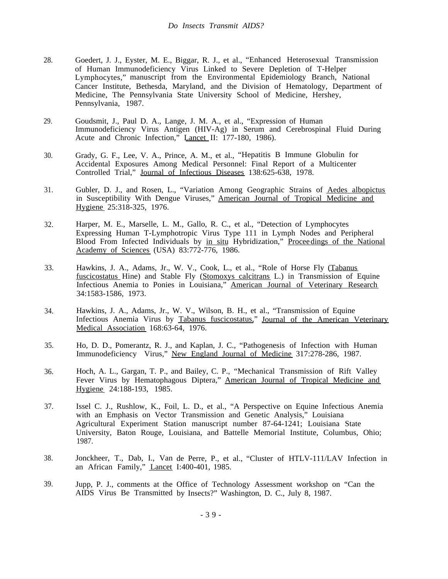- 28. Goedert, J. J., Eyster, M. E., Biggar, R. J., et al., "Enhanced Heterosexual Transmission of Human Immunodeficiency Virus Linked to Severe Depletion of T-Helper Lymphocytes," manuscript from the Environmental Epidemiology Branch, National Cancer Institute, Bethesda, Maryland, and the Division of Hematology, Department of Medicine, The Pennsylvania State University School of Medicine, Hershey, Pennsylvania, 1987.
- 29. Goudsmit, J., Paul D. A., Lange, J. M. A., et al., "Expression of Human Immunodeficiency Virus Antigen (HIV-Ag) in Serum and Cerebrospinal Fluid During Acute and Chronic Infection," Lancet II: 177-180, 1986).
- 30. Grady, G. F., Lee, V. A., Prince, A. M., et al., "Hepatitis B Immune Globulin for Accidental Exposures Among Medical Personnel: Final Report of a Multicenter Controlled Trial," Journal of Infectious Diseases 138:625-638, 1978.
- 31. Gubler, D. J., and Rosen, L., "Variation Among Geographic Strains of Aedes albopictus in Susceptibility With Dengue Viruses," American Journal of Tropical Medicine and Hygiene 25:318-325, 1976.
- 32. Harper, M. E., Marselle, L. M., Gallo, R. C., et al., "Detection of Lymphocytes Expressing Human T-Lymphotropic Virus Type 111 in Lymph Nodes and Peripheral Blood From Infected Individuals by in situ Hybridization," Proceedings of the National Academy of Sciences (USA) 83:772-776, 1986.
- 33. Hawkins, J. A., Adams, Jr., W. V., Cook, L., et al., "Role of Horse Fly (Tabanus fuscicostatus Hine) and Stable Fly (Stomoxys calcitrans L.) in Transmission of Equine Infectious Anemia to Ponies in Louisiana," American Journal of Veterinary Research 34:1583-1586, 1973.
- 34. Hawkins, J. A., Adams, Jr., W. V., Wilson, B. H., et al., "Transmission of Equine Infectious Anemia Virus by Tabanus fuscicostatus," Journal of the American Veterinary Medical Association 168:63-64, 1976.
- 35. Ho, D. D., Pomerantz, R. J., and Kaplan, J. C., "Pathogenesis of Infection with Human Immunodeficiency Virus," New England Journal of Medicine 317:278-286, 1987.
- 36. Hoch, A. L., Gargan, T. P., and Bailey, C. P., "Mechanical Transmission of Rift Valley Fever Virus by Hematophagous Diptera," American Journal of Tropical Medicine and Hygiene 24:188-193, 1985.
- 37. Issel C. J., Rushlow, K., Foil, L. D., et al., "A Perspective on Equine Infectious Anemia with an Emphasis on Vector Transmission and Genetic Analysis," Louisiana Agricultural Experiment Station manuscript number 87-64-1241; Louisiana State University, Baton Rouge, Louisiana, and Battelle Memorial Institute, Columbus, Ohio; 1987.
- 38. Jonckheer, T., Dab, I., Van de Perre, P., et al., "Cluster of HTLV-111/LAV Infection in an African Family," **Lancet** I:400-401, 1985.
- 39. Jupp, P. J., comments at the Office of Technology Assessment workshop on "Can the AIDS Virus Be Transmitted by Insects?" Washington, D. C., July 8, 1987.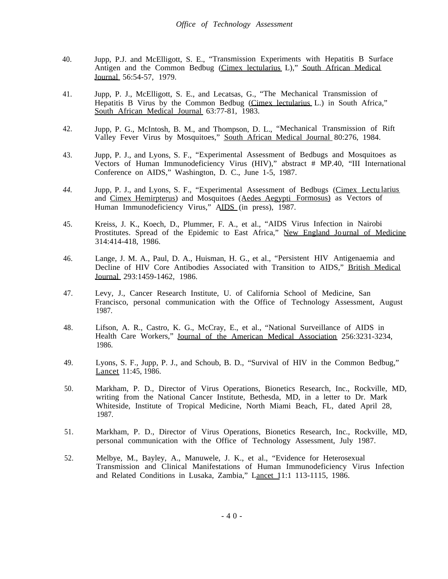- 40. Jupp, P.J. and McElligott, S. E., "Transmission Experiments with Hepatitis B Surface Antigen and the Common Bedbug (Cimex lectularius L)," South African Medical Journal 56:54-57, 1979.
- 41. Jupp, P. J., McElligott, S. E., and Lecatsas, G., "The Mechanical Transmission of Hepatitis B Virus by the Common Bedbug (Cimex lectularius L.) in South Africa," South African Medical Journal 63:77-81, 1983.
- 42. Jupp, P. G., McIntosh, B. M., and Thompson, D. L., "Mechanical Transmission of Rift Valley Fever Virus by Mosquitoes," South African Medical Journal 80:276, 1984.
- 43. Jupp, P. J., and Lyons, S. F., "Experimental Assessment of Bedbugs and Mosquitoes as Vectors of Human Immunodeficiency Virus (HIV)," abstract # MP.40, "III International Conference on AIDS," Washington, D. C., June 1-5, 1987.
- *44.* Jupp, P. J., and Lyons, S. F., "Experimental Assessment of Bedbugs (Cimex Lectu larius and Cimex Hemirpterus) and Mosquitoes (Aedes Aegypti Formosus) as Vectors of Human Immunodeficiency Virus," AIDS (in press), 1987.
- 45. Kreiss, J. K., Koech, D., Plummer, F. A., et al., "AIDS Virus Infection in Nairobi Prostitutes. Spread of the Epidemic to East Africa," New England Journal of Medicine 314:414-418, 1986.
- 46. Lange, J. M. A., Paul, D. A., Huisman, H. G., et al., "Persistent HIV Antigenaemia and Decline of HIV Core Antibodies Associated with Transition to AIDS," British Medical Journal 293:1459-1462, 1986.
- 47. Levy, J., Cancer Research Institute, U. of California School of Medicine, San Francisco, personal communication with the Office of Technology Assessment, August 1987.
- 48. Lifson, A. R., Castro, K. G., McCray, E., et al., "National Surveillance of AIDS in Health Care Workers," Journal of the American Medical Association 256:3231-3234, 1986.
- 49. Lyons, S. F., Jupp, P. J., and Schoub, B. D., "Survival of HIV in the Common Bedbug," Lancet 11:45, 1986.
- 50. Markham, P. D., Director of Virus Operations, Bionetics Research, Inc., Rockville, MD, writing from the National Cancer Institute, Bethesda, MD, in a letter to Dr. Mark Whiteside, Institute of Tropical Medicine, North Miami Beach, FL, dated April 28, 1987.
- 51. Markham, P. D., Director of Virus Operations, Bionetics Research, Inc., Rockville, MD, personal communication with the Office of Technology Assessment, July 1987.
- 52. Melbye, M., Bayley, A., Manuwele, J. K., et al., "Evidence for Heterosexual Transmission and Clinical Manifestations of Human Immunodeficiency Virus Infection and Related Conditions in Lusaka, Zambia," Lancet 11:1 113-1115, 1986.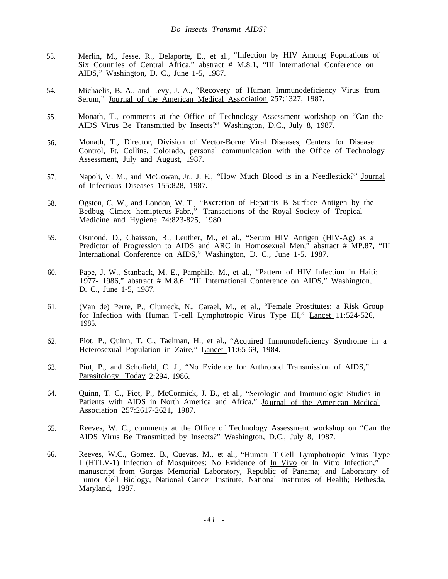- 53. Merlin, M., Jesse, R., Delaporte, E., et al., "Infection by HIV Among Populations of Six Countries of Central Africa," abstract # M.8.1, "III International Conference on AIDS," Washington, D. C., June 1-5, 1987.
- 54. Michaelis, B. A., and Levy, J. A., "Recovery of Human Immunodeficiency Virus from Serum," Journal of the American Medical Association 257:1327, 1987.
- 55. Monath, T., comments at the Office of Technology Assessment workshop on "Can the AIDS Virus Be Transmitted by Insects?" Washington, D.C., July 8, 1987.
- 56. Monath, T., Director, Division of Vector-Borne Viral Diseases, Centers for Disease Control, Ft. Collins, Colorado, personal communication with the Office of Technology Assessment, July and August, 1987.
- 57. Napoli, V. M., and McGowan, Jr., J. E., "How Much Blood is in a Needlestick?" Journal of Infectious Diseases 155:828, 1987.
- 58. Ogston, C. W., and London, W. T., "Excretion of Hepatitis B Surface Antigen by the Bedbug Cimex hemipterus Fabr.," Transactions of the Royal Society of Tropical Medicine and Hygiene 74:823-825, 1980.
- 59. Osmond, D., Chaisson, R., Leuther, M., et al., "Serum HIV Antigen (HIV-Ag) as a Predictor of Progression to AIDS and ARC in Homosexual Men,<sup>7</sup> abstract # MP.87, "III International Conference on AIDS," Washington, D. C., June 1-5, 1987.
- 60. Pape, J. W., Stanback, M. E., Pamphile, M., et al., "Pattern of HIV Infection in Haiti: 1977- 1986," abstract # M.8.6, "III International Conference on AIDS," Washington, D. C., June 1-5, 1987.
- 61. (Van de) Perre, P., Clumeck, N., Carael, M., et al., "Female Prostitutes: a Risk Group for Infection with Human T-cell Lymphotropic Virus Type III," Lancet 11:524-526, 1985.
- 62. Piot, P., Quinn, T. C., Taelman, H., et al., "Acquired Immunodeficiency Syndrome in a Heterosexual Population in Zaire," Lancet 11:65-69, 1984.
- 63. Piot, P., and Schofield, C. J., "No Evidence for Arthropod Transmission of AIDS," Parasitology Today 2:294, 1986.
- 64. Quinn, T. C., Piot, P., McCormick, J. B., et al., "Serologic and Immunologic Studies in Patients with AIDS in North America and Africa," Journal of the American Medical Association 257:2617-2621, 1987.
- 65. Reeves, W. C., comments at the Office of Technology Assessment workshop on "Can the AIDS Virus Be Transmitted by Insects?" Washington, D.C., July 8, 1987.
- 66. Reeves, W.C., Gomez, B., Cuevas, M., et al., "Human T-Cell Lymphotropic Virus Type I (HTLV-1) Infection of Mosquitoes: No Evidence of In Vivo or In Vitro Infection, manuscript from Gorgas Memorial Laboratory, Republic of Panama; and Laboratory of Tumor Cell Biology, National Cancer Institute, National Institutes of Health; Bethesda, Maryland, 1987.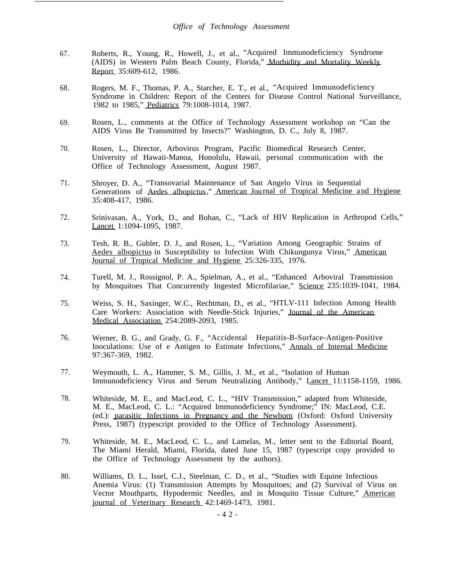- 67. Roberts, R., Young, R., Howell, J., et al., "Acquired Immunodeficiency Syndrome (AIDS) in Western Palm Beach County, Florida," Morbidity and Mortality Weekly Report 35:609-612, 1986.
- 68. Rogers, M. F., Thomas, P. A., Starcher, E. T., et al., "Acquired Immunodeficiency Syndrome in Children: Report of the Centers for Disease Control National Surveillance, 1982 to 1985," Pediatrics 79:1008-1014, 1987.
- 69. Rosen, L., comments at the Office of Technology Assessment workshop on "Can the AIDS Virus Be Transmitted by Insects?" Washington, D. C., July 8, 1987.
- 70. Rosen, L., Director, Arbovirus Program, Pacific Biomedical Research Center, University of Hawaii-Manoa, Honolulu, Hawaii, personal communication with the Office of Technology Assessment, August 1987.
- 71. Shroyer, D. A., "Transovarial Maintenance of San Angelo Virus in Sequential Generations of Aedes albopictus," American Journal of Tropical Medicine and Hygiene 35:408-417, 1986.
- 72. Srinivasan, A., York, D., and Bohan, C., "Lack of HIV Replication in Arthropod Cells," Lancet 1:1094-1095, 1987.
- 73. Tesh, R. B., Gubler, D. J., and Rosen, L., "Variation Among Geographic Strains of Aedes albopictus in Susceptibility to Infection With Chikungunya Virus," American Journal of Tropical Medicine and Hygiene 25:326-335, 1976.
- 74. Turell, M. J., Rossignol, P. A., Spielman, A., et al., "Enhanced Arboviral Transmission by Mosquitoes That Concurrently Ingested Microfilariae," Science 235:1039-1041, 1984.
- 75. Weiss, S. H., Saxinger, W.C., Rechtman, D., et al., "HTLV-111 Infection Among Health Care Workers: Association with Needle-Stick Injuries," Journal of the American Medical Association 254:2089-2093, 1985.
- 76. Werner, B. G., and Grady, G. F., "Accidental Hepatitis-B-Surface-Antigen-Positive Inoculations: Use of e Antigen to Estimate Infections," Annals of Internal Medicine 97:367-369, 1982.
- 77. Weymouth, L. A., Hammer, S. M., Gillis, J. M., et al., "Isolation of Human Immunodeficiency Virus and Serum Neutralizing Antibody," Lancet 11:1158-1159, 1986.
- 78. Whiteside, M. E., and MacLeod, C. L., "HIV Transmission," adapted from Whiteside, M. E., MacLeod, C. L.: "Acquired Immunodeficiency Syndrome;" IN: MacLeod, C.E. (ed.): parasitic Infections in Pregnancy and the Newborn (Oxford: Oxford University Press, 1987) (typescript provided to the Office of Technology Assessment).
- 79. Whiteside, M. E., MacLeod, C. L., and Lamelas, M., letter sent to the Editorial Board, The Miami Herald, Miami, Florida, dated June 15, 1987 (typescript copy provided to the Office of Technology Assessment by the authors).
- 80. Williams, D. L., Issel, C.J., Steelman, C. D., et al., "Studies with Equine Infectious Anemia Virus: (1) Transmission Attempts by Mosquitoes; and (2) Survival of Virus on Vector Mouthparts, Hypodermic Needles, and in Mosquito Tissue Culture," American journal of Veterinary Research 42:1469-1473, 1981.